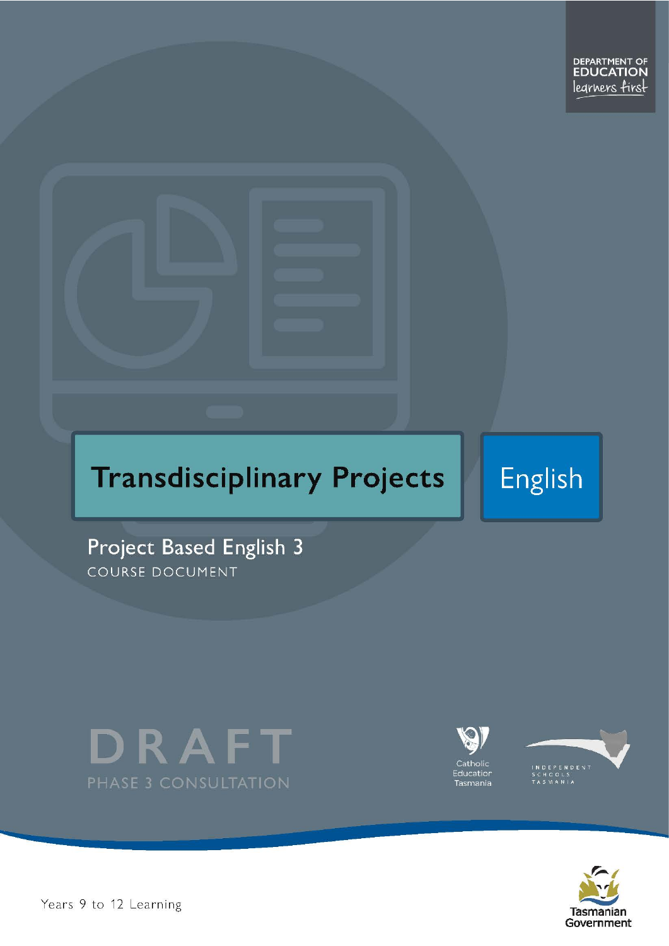

# **Transdisciplinary Projects**

English

Project Based English 3 COURSE DOCUMENT









Years 9 to 12 Learning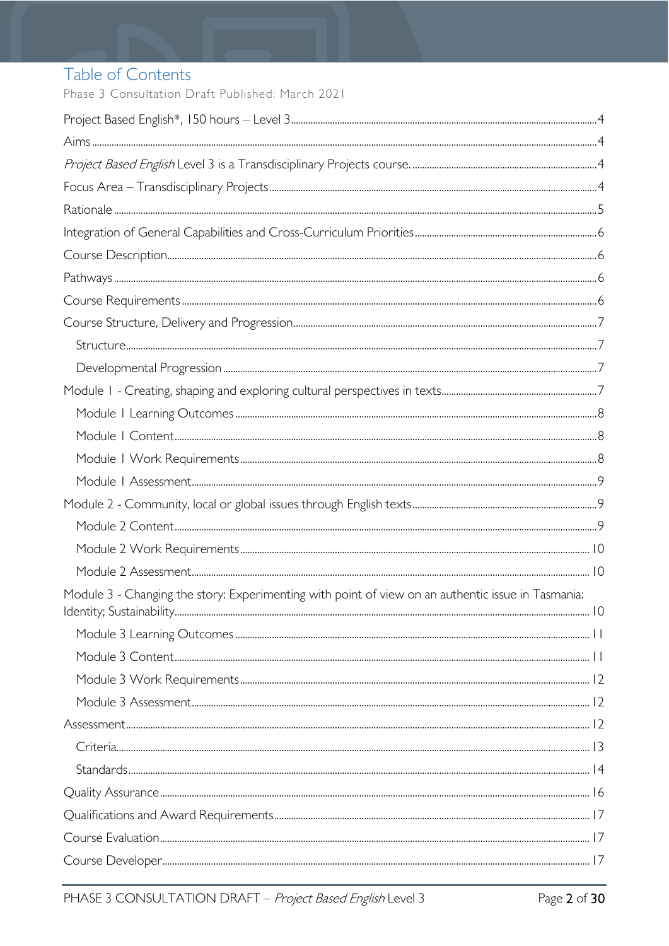# Table of Contents

Phase 3 Consultation Draft Published: March 2021

| Module 3 - Changing the story: Experimenting with point of view on an authentic issue in Tasmania: |  |
|----------------------------------------------------------------------------------------------------|--|
|                                                                                                    |  |
|                                                                                                    |  |
|                                                                                                    |  |
|                                                                                                    |  |
|                                                                                                    |  |
|                                                                                                    |  |
|                                                                                                    |  |
|                                                                                                    |  |
|                                                                                                    |  |
|                                                                                                    |  |
|                                                                                                    |  |
|                                                                                                    |  |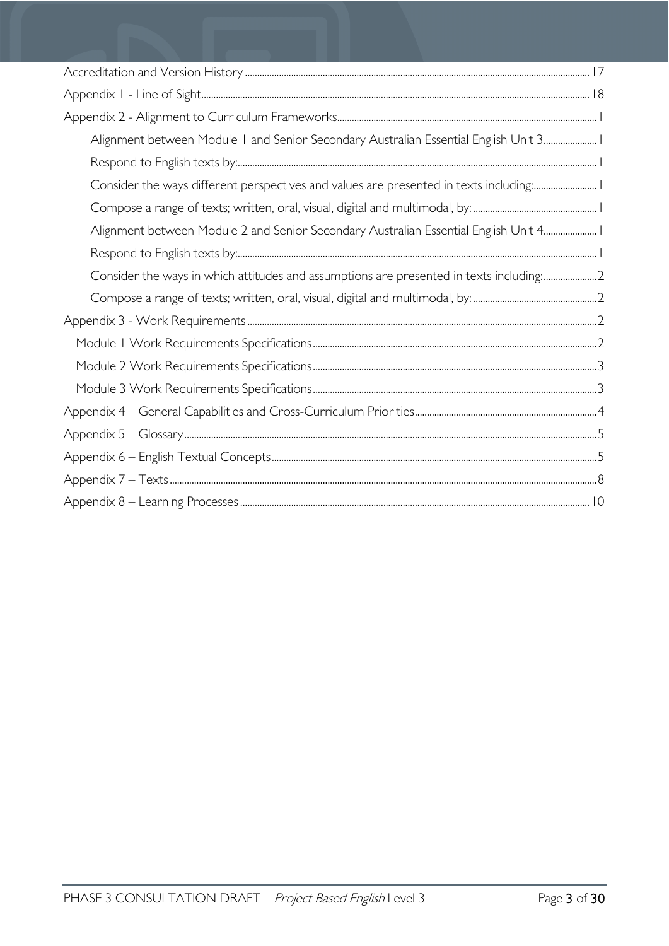| Alignment between Module I and Senior Secondary Australian Essential English Unit 3 I   |
|-----------------------------------------------------------------------------------------|
|                                                                                         |
| Consider the ways different perspectives and values are presented in texts including: I |
|                                                                                         |
| Alignment between Module 2 and Senior Secondary Australian Essential English Unit 4     |
|                                                                                         |
| Consider the ways in which attitudes and assumptions are presented in texts including:2 |
|                                                                                         |
|                                                                                         |
|                                                                                         |
|                                                                                         |
|                                                                                         |
|                                                                                         |
|                                                                                         |
|                                                                                         |
|                                                                                         |
|                                                                                         |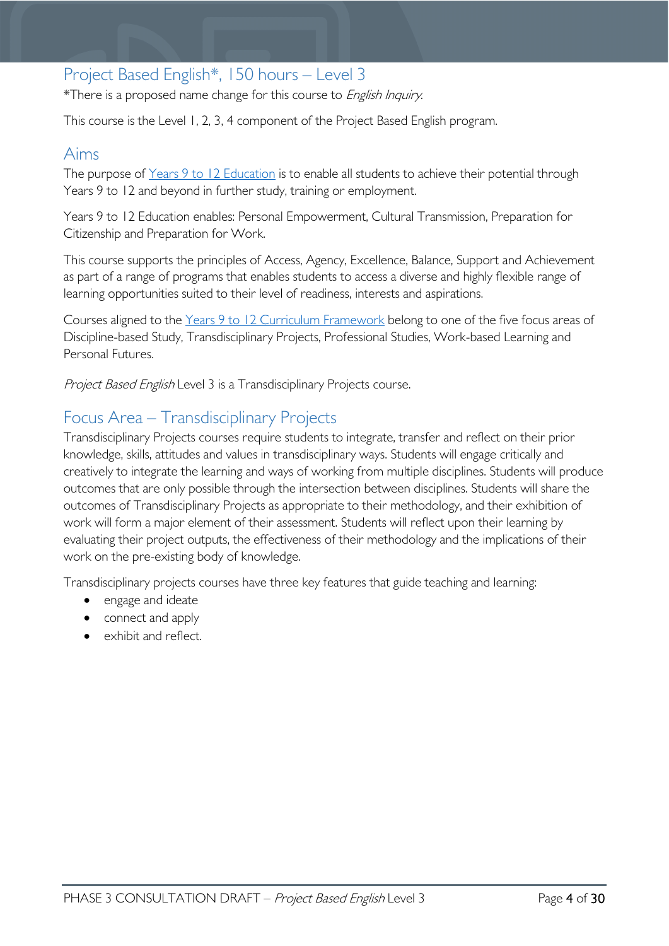### <span id="page-3-0"></span>Project Based English\*, 150 hours – Level 3

\*There is a proposed name change for this course to English Inquiry.

This course is the Level 1, 2, 3, 4 component of the Project Based English program.

### <span id="page-3-1"></span>Aims

The purpose of Years 9 to 12 [Education](https://publicdocumentcentre.education.tas.gov.au/library/Shared%20Documents/Years-9-to-12-Education-Framework.pdf) is to enable all students to achieve their potential through Years 9 to 12 and beyond in further study, training or employment.

Years 9 to 12 Education enables: Personal Empowerment, Cultural Transmission, Preparation for Citizenship and Preparation for Work.

This course supports the principles of Access, Agency, Excellence, Balance, Support and Achievement as part of a range of programs that enables students to access a diverse and highly flexible range of learning opportunities suited to their level of readiness, interests and aspirations.

Courses aligned to the Years 9 to 12 Curriculum [Framework](https://publicdocumentcentre.education.tas.gov.au/library/Shared%20Documents/Education%209-12%20Frameworks%20A3%20WEB%20POSTER.pdf) belong to one of the five focus areas of Discipline-based Study, Transdisciplinary Projects, Professional Studies, Work-based Learning and Personal Futures.

<span id="page-3-2"></span>Project Based English Level 3 is a Transdisciplinary Projects course.

### <span id="page-3-3"></span>Focus Area – Transdisciplinary Projects

Transdisciplinary Projects courses require students to integrate, transfer and reflect on their prior knowledge, skills, attitudes and values in transdisciplinary ways. Students will engage critically and creatively to integrate the learning and ways of working from multiple disciplines. Students will produce outcomes that are only possible through the intersection between disciplines. Students will share the outcomes of Transdisciplinary Projects as appropriate to their methodology, and their exhibition of work will form a major element of their assessment. Students will reflect upon their learning by evaluating their project outputs, the effectiveness of their methodology and the implications of their work on the pre-existing body of knowledge.

Transdisciplinary projects courses have three key features that guide teaching and learning:

- engage and ideate
- connect and apply
- exhibit and reflect.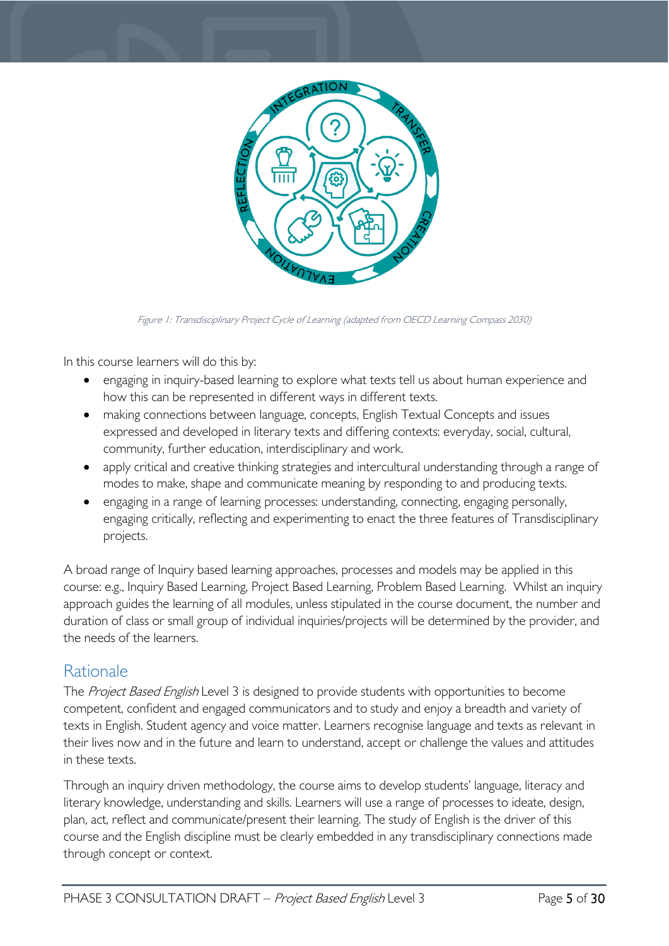

Figure 1: Transdisciplinary Project Cycle of Learning (adapted from OECD Learning Compass 2030)

In this course learners will do this by:

- engaging in inquiry-based learning to explore what texts tell us about human experience and how this can be represented in different ways in different texts.
- making connections between language, concepts, English Textual Concepts and issues expressed and developed in literary texts and differing contexts: everyday, social, cultural, community, further education, interdisciplinary and work.
- apply critical and creative thinking strategies and intercultural understanding through a range of modes to make, shape and communicate meaning by responding to and producing texts.
- engaging in a range of learning processes: understanding, connecting, engaging personally, engaging critically, reflecting and experimenting to enact the three features of Transdisciplinary projects.

A broad range of Inquiry based learning approaches, processes and models may be applied in this course: e.g., Inquiry Based Learning, Project Based Learning, Problem Based Learning. Whilst an inquiry approach guides the learning of all modules, unless stipulated in the course document, the number and duration of class or small group of individual inquiries/projects will be determined by the provider, and the needs of the learners.

### <span id="page-4-0"></span>Rationale

The Project Based English Level 3 is designed to provide students with opportunities to become competent, confident and engaged communicators and to study and enjoy a breadth and variety of texts in English. Student agency and voice matter. Learners recognise language and texts as relevant in their lives now and in the future and learn to understand, accept or challenge the values and attitudes in these texts.

Through an inquiry driven methodology, the course aims to develop students' language, literacy and literary knowledge, understanding and skills. Learners will use a range of processes to ideate, design, plan, act, reflect and communicate/present their learning. The study of English is the driver of this course and the English discipline must be clearly embedded in any transdisciplinary connections made through concept or context.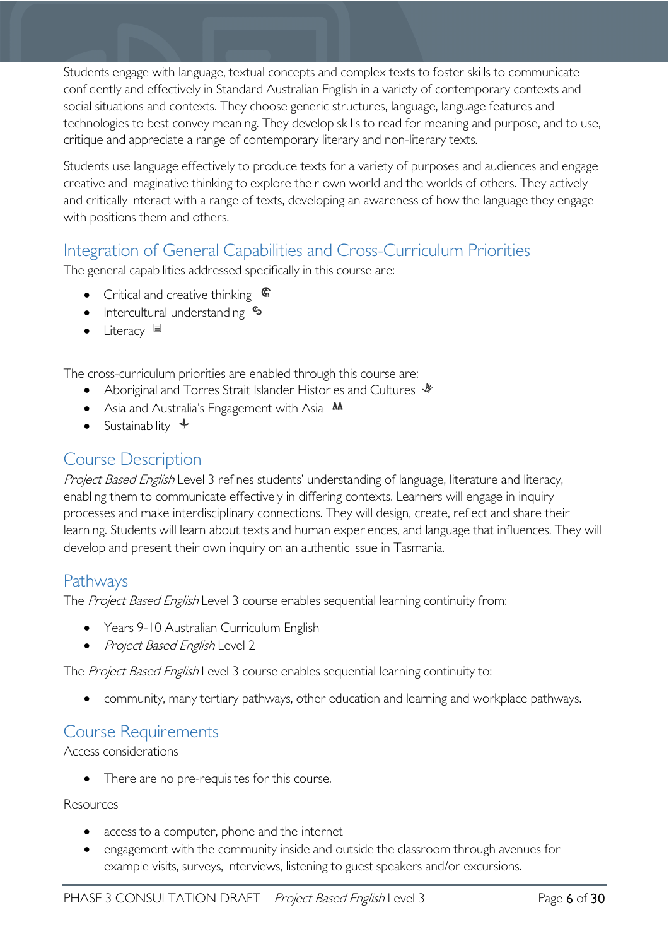Students engage with language, textual concepts and complex texts to foster skills to communicate confidently and effectively in Standard Australian English in a variety of contemporary contexts and social situations and contexts. They choose generic structures, language, language features and technologies to best convey meaning. They develop skills to read for meaning and purpose, and to use, critique and appreciate a range of contemporary literary and non-literary texts.

Students use language effectively to produce texts for a variety of purposes and audiences and engage creative and imaginative thinking to explore their own world and the worlds of others. They actively and critically interact with a range of texts, developing an awareness of how the language they engage with positions them and others.

# <span id="page-5-0"></span>Integration of General Capabilities and Cross-Curriculum Priorities

The general capabilities addressed specifically in this course are:

- Critical and creative thinking  $\mathbb{C}$
- Intercultural understanding •
- Literacy  $\blacksquare$

The cross-curriculum priorities are enabled through this course are:

- Aboriginal and Torres Strait Islander Histories and Cultures  $\mathcal$
- Asia and Australia's Engagement with Asia **AA**
- Sustainability  $\triangleleft$

## <span id="page-5-1"></span>Course Description

Project Based English Level 3 refines students' understanding of language, literature and literacy, enabling them to communicate effectively in differing contexts. Learners will engage in inquiry processes and make interdisciplinary connections. They will design, create, reflect and share their learning. Students will learn about texts and human experiences, and language that influences. They will develop and present their own inquiry on an authentic issue in Tasmania.

### <span id="page-5-2"></span>Pathways

The Project Based English Level 3 course enables sequential learning continuity from:

- Years 9-10 Australian Curriculum English
- Project Based English Level 2

The Project Based English Level 3 course enables sequential learning continuity to:

• community, many tertiary pathways, other education and learning and workplace pathways.

### <span id="page-5-3"></span>Course Requirements

Access considerations

There are no pre-requisites for this course.

#### Resources

- access to a computer, phone and the internet
- engagement with the community inside and outside the classroom through avenues for example visits, surveys, interviews, listening to guest speakers and/or excursions.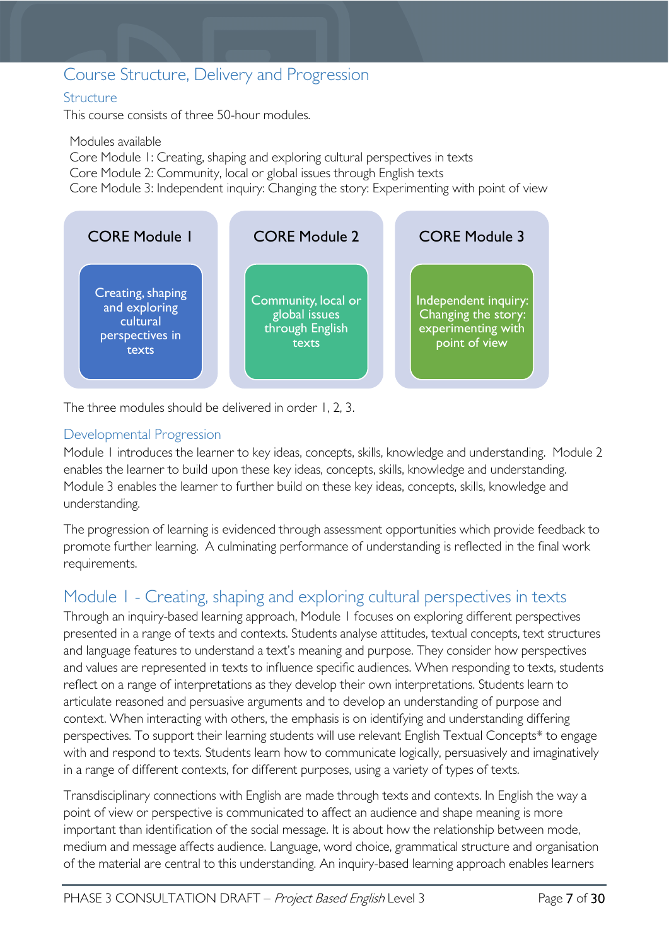### <span id="page-6-0"></span>Course Structure, Delivery and Progression

#### <span id="page-6-1"></span>**Structure**

This course consists of three 50-hour modules.

Modules available Core Module 1: Creating, shaping and exploring cultural perspectives in texts Core Module 2: Community, local or global issues through English texts Core Module 3: Independent inquiry: Changing the story: Experimenting with point of view



The three modules should be delivered in order 1, 2, 3.

#### <span id="page-6-2"></span>Developmental Progression

Module 1 introduces the learner to key ideas, concepts, skills, knowledge and understanding. Module 2 enables the learner to build upon these key ideas, concepts, skills, knowledge and understanding. Module 3 enables the learner to further build on these key ideas, concepts, skills, knowledge and understanding.

The progression of learning is evidenced through assessment opportunities which provide feedback to promote further learning. A culminating performance of understanding is reflected in the final work requirements.

### <span id="page-6-3"></span>Module 1 - Creating, shaping and exploring cultural perspectives in texts

Through an inquiry-based learning approach, Module 1 focuses on exploring different perspectives presented in a range of texts and contexts. Students analyse attitudes, textual concepts, text structures and language features to understand a text's meaning and purpose. They consider how perspectives and values are represented in texts to influence specific audiences. When responding to texts, students reflect on a range of interpretations as they develop their own interpretations. Students learn to articulate reasoned and persuasive arguments and to develop an understanding of purpose and context. When interacting with others, the emphasis is on identifying and understanding differing perspectives. To support their learning students will use relevant English Textual Concepts\* to engage with and respond to texts. Students learn how to communicate logically, persuasively and imaginatively in a range of different contexts, for different purposes, using a variety of types of texts.

Transdisciplinary connections with English are made through texts and contexts. In English the way a point of view or perspective is communicated to affect an audience and shape meaning is more important than identification of the social message. It is about how the relationship between mode, medium and message affects audience. Language, word choice, grammatical structure and organisation of the material are central to this understanding. An inquiry-based learning approach enables learners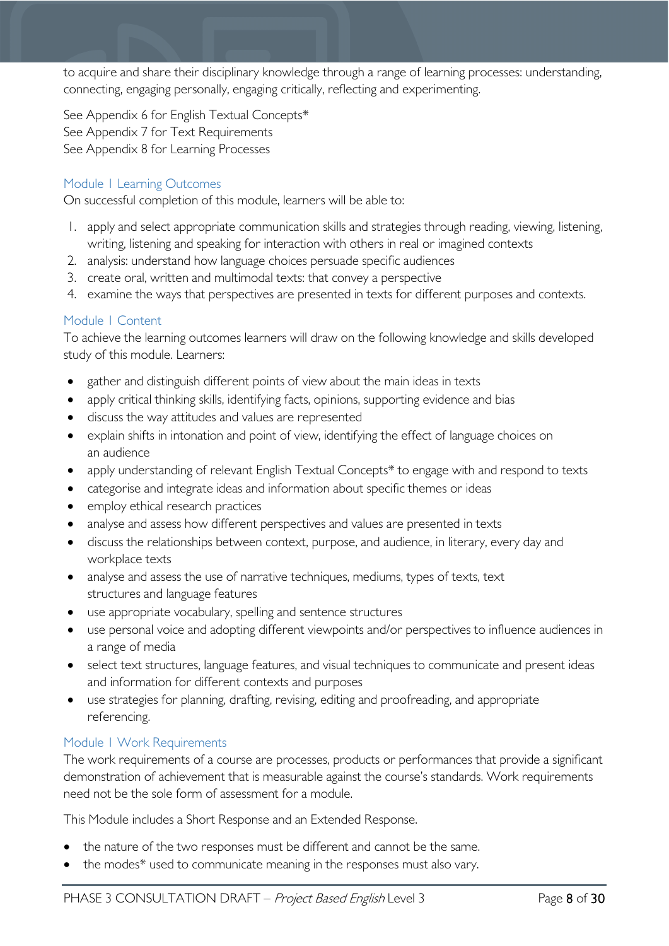to acquire and share their disciplinary knowledge through a range of learning processes: understanding, connecting, engaging personally, engaging critically, reflecting and experimenting.

See Appendix 6 for English Textual Concepts\* See Appendix 7 for Text Requirements See Appendix 8 for Learning Processes

#### <span id="page-7-0"></span>Module 1 Learning Outcomes

On successful completion of this module, learners will be able to:

- 1. apply and select appropriate communication skills and strategies through reading, viewing, listening, writing, listening and speaking for interaction with others in real or imagined contexts
- 2. analysis: understand how language choices persuade specific audiences
- 3. create oral, written and multimodal texts: that convey a perspective
- 4. examine the ways that perspectives are presented in texts for different purposes and contexts.

#### <span id="page-7-1"></span>Module 1 Content

To achieve the learning outcomes learners will draw on the following knowledge and skills developed study of this module. Learners:

- gather and distinguish different points of view about the main ideas in texts
- apply critical thinking skills, identifying facts, opinions, supporting evidence and bias
- discuss the way attitudes and values are represented
- explain shifts in intonation and point of view, identifying the effect of language choices on an audience
- apply understanding of relevant English Textual Concepts\* to engage with and respond to texts
- categorise and integrate ideas and information about specific themes or ideas
- employ ethical research practices
- analyse and assess how different perspectives and values are presented in texts
- discuss the relationships between context, purpose, and audience, in literary, every day and workplace texts
- analyse and assess the use of narrative techniques, mediums, types of texts, text structures and language features
- use appropriate vocabulary, spelling and sentence structures
- use personal voice and adopting different viewpoints and/or perspectives to influence audiences in a range of media
- select text structures, language features, and visual techniques to communicate and present ideas and information for different contexts and purposes
- use strategies for planning, drafting, revising, editing and proofreading, and appropriate referencing.

#### <span id="page-7-2"></span>Module 1 Work Requirements

The work requirements of a course are processes, products or performances that provide a significant demonstration of achievement that is measurable against the course's standards. Work requirements need not be the sole form of assessment for a module.

This Module includes a Short Response and an Extended Response.

- the nature of the two responses must be different and cannot be the same.
- the modes\* used to communicate meaning in the responses must also vary.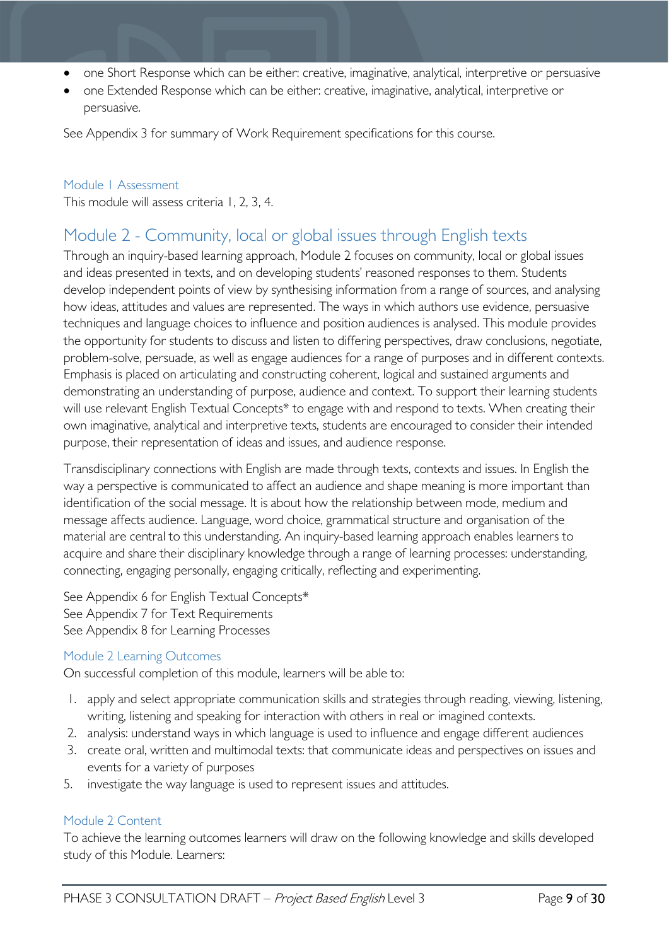- one Short Response which can be either: creative, imaginative, analytical, interpretive or persuasive
- one Extended Response which can be either: creative, imaginative, analytical, interpretive or persuasive.

See Appendix 3 for summary of Work Requirement specifications for this course.

#### <span id="page-8-0"></span>Module 1 Assessment

This module will assess criteria 1, 2, 3, 4.

### <span id="page-8-1"></span>Module 2 - Community, local or global issues through English texts

Through an inquiry-based learning approach, Module 2 focuses on community, local or global issues and ideas presented in texts, and on developing students' reasoned responses to them. Students develop independent points of view by synthesising information from a range of sources, and analysing how ideas, attitudes and values are represented. The ways in which authors use evidence, persuasive techniques and language choices to influence and position audiences is analysed. This module provides the opportunity for students to discuss and listen to differing perspectives, draw conclusions, negotiate, problem-solve, persuade, as well as engage audiences for a range of purposes and in different contexts. Emphasis is placed on articulating and constructing coherent, logical and sustained arguments and demonstrating an understanding of purpose, audience and context. To support their learning students will use relevant English Textual Concepts\* to engage with and respond to texts. When creating their own imaginative, analytical and interpretive texts, students are encouraged to consider their intended purpose, their representation of ideas and issues, and audience response.

Transdisciplinary connections with English are made through texts, contexts and issues. In English the way a perspective is communicated to affect an audience and shape meaning is more important than identification of the social message. It is about how the relationship between mode, medium and message affects audience. Language, word choice, grammatical structure and organisation of the material are central to this understanding. An inquiry-based learning approach enables learners to acquire and share their disciplinary knowledge through a range of learning processes: understanding, connecting, engaging personally, engaging critically, reflecting and experimenting.

See Appendix 6 for English Textual Concepts\* See Appendix 7 for Text Requirements See Appendix 8 for Learning Processes

#### Module 2 Learning Outcomes

On successful completion of this module, learners will be able to:

- 1. apply and select appropriate communication skills and strategies through reading, viewing, listening, writing, listening and speaking for interaction with others in real or imagined contexts.
- 2. analysis: understand ways in which language is used to influence and engage different audiences
- 3. create oral, written and multimodal texts: that communicate ideas and perspectives on issues and events for a variety of purposes
- 5. investigate the way language is used to represent issues and attitudes.

#### <span id="page-8-2"></span>Module 2 Content

To achieve the learning outcomes learners will draw on the following knowledge and skills developed study of this Module. Learners: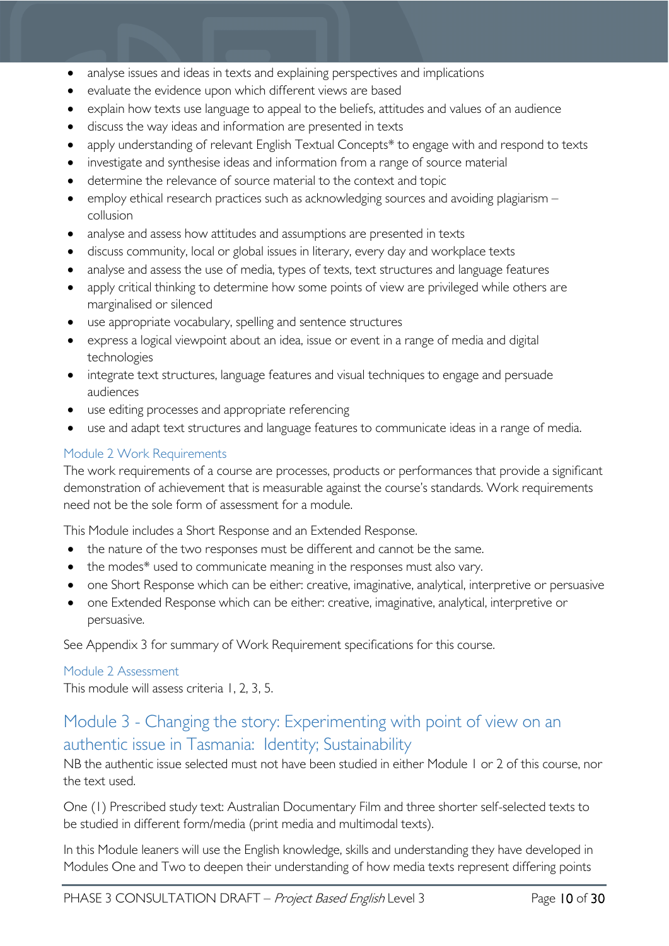- analyse issues and ideas in texts and explaining perspectives and implications
- evaluate the evidence upon which different views are based
- explain how texts use language to appeal to the beliefs, attitudes and values of an audience
- discuss the way ideas and information are presented in texts
- apply understanding of relevant English Textual Concepts\* to engage with and respond to texts
- investigate and synthesise ideas and information from a range of source material
- determine the relevance of source material to the context and topic
- employ ethical research practices such as acknowledging sources and avoiding plagiarism collusion
- analyse and assess how attitudes and assumptions are presented in texts
- discuss community, local or global issues in literary, every day and workplace texts
- analyse and assess the use of media, types of texts, text structures and language features
- apply critical thinking to determine how some points of view are privileged while others are marginalised or silenced
- use appropriate vocabulary, spelling and sentence structures
- express a logical viewpoint about an idea, issue or event in a range of media and digital technologies
- integrate text structures, language features and visual techniques to engage and persuade audiences
- use editing processes and appropriate referencing
- use and adapt text structures and language features to communicate ideas in a range of media.

#### <span id="page-9-0"></span>Module 2 Work Requirements

The work requirements of a course are processes, products or performances that provide a significant demonstration of achievement that is measurable against the course's standards. Work requirements need not be the sole form of assessment for a module.

This Module includes a Short Response and an Extended Response.

- the nature of the two responses must be different and cannot be the same.
- the modes\* used to communicate meaning in the responses must also vary.
- one Short Response which can be either: creative, imaginative, analytical, interpretive or persuasive
- one Extended Response which can be either: creative, imaginative, analytical, interpretive or persuasive.

See Appendix 3 for summary of Work Requirement specifications for this course.

#### <span id="page-9-1"></span>Module 2 Assessment

This module will assess criteria 1, 2, 3, 5.

### <span id="page-9-2"></span>Module 3 - Changing the story: Experimenting with point of view on an authentic issue in Tasmania: Identity; Sustainability

NB the authentic issue selected must not have been studied in either Module 1 or 2 of this course, nor the text used.

One (1) Prescribed study text: Australian Documentary Film and three shorter self-selected texts to be studied in different form/media (print media and multimodal texts).

In this Module leaners will use the English knowledge, skills and understanding they have developed in Modules One and Two to deepen their understanding of how media texts represent differing points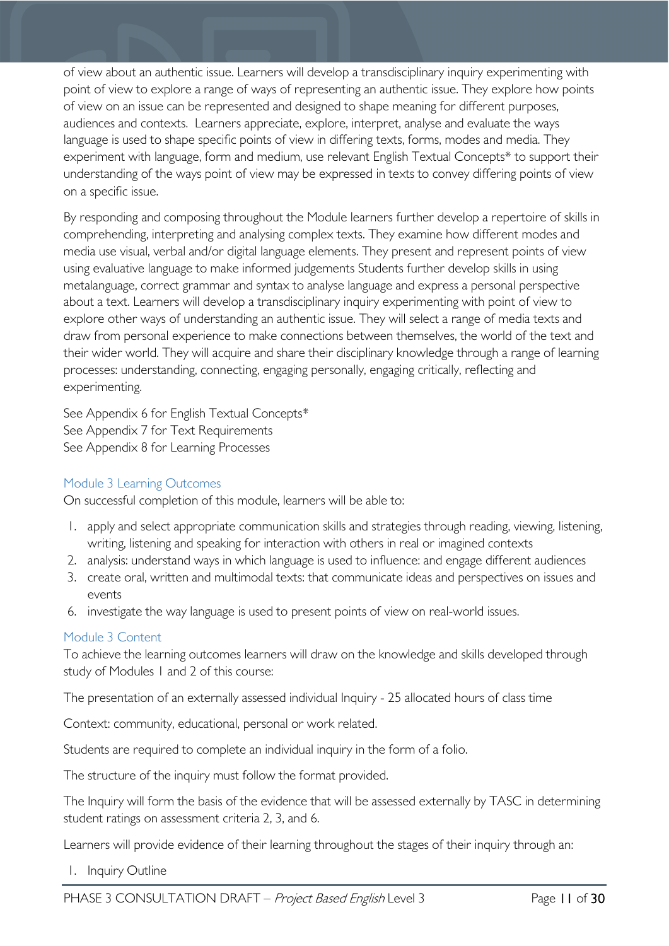of view about an authentic issue. Learners will develop a transdisciplinary inquiry experimenting with point of view to explore a range of ways of representing an authentic issue. They explore how points of view on an issue can be represented and designed to shape meaning for different purposes, audiences and contexts. Learners appreciate, explore, interpret, analyse and evaluate the ways language is used to shape specific points of view in differing texts, forms, modes and media. They experiment with language, form and medium, use relevant English Textual Concepts\* to support their understanding of the ways point of view may be expressed in texts to convey differing points of view on a specific issue.

By responding and composing throughout the Module learners further develop a repertoire of skills in comprehending, interpreting and analysing complex texts. They examine how different modes and media use visual, verbal and/or digital language elements. They present and represent points of view using evaluative language to make informed judgements Students further develop skills in using metalanguage, correct grammar and syntax to analyse language and express a personal perspective about a text. Learners will develop a transdisciplinary inquiry experimenting with point of view to explore other ways of understanding an authentic issue. They will select a range of media texts and draw from personal experience to make connections between themselves, the world of the text and their wider world. They will acquire and share their disciplinary knowledge through a range of learning processes: understanding, connecting, engaging personally, engaging critically, reflecting and experimenting.

See Appendix 6 for English Textual Concepts\* See Appendix 7 for Text Requirements See Appendix 8 for Learning Processes

#### <span id="page-10-0"></span>Module 3 Learning Outcomes

On successful completion of this module, learners will be able to:

- 1. apply and select appropriate communication skills and strategies through reading, viewing, listening, writing, listening and speaking for interaction with others in real or imagined contexts
- 2. analysis: understand ways in which language is used to influence: and engage different audiences
- 3. create oral, written and multimodal texts: that communicate ideas and perspectives on issues and events
- 6. investigate the way language is used to present points of view on real-world issues.

#### <span id="page-10-1"></span>Module 3 Content

To achieve the learning outcomes learners will draw on the knowledge and skills developed through study of Modules 1 and 2 of this course:

The presentation of an externally assessed individual Inquiry - 25 allocated hours of class time

Context: community, educational, personal or work related.

Students are required to complete an individual inquiry in the form of a folio.

The structure of the inquiry must follow the format provided.

The Inquiry will form the basis of the evidence that will be assessed externally by TASC in determining student ratings on assessment criteria 2, 3, and 6.

Learners will provide evidence of their learning throughout the stages of their inquiry through an:

1. Inquiry Outline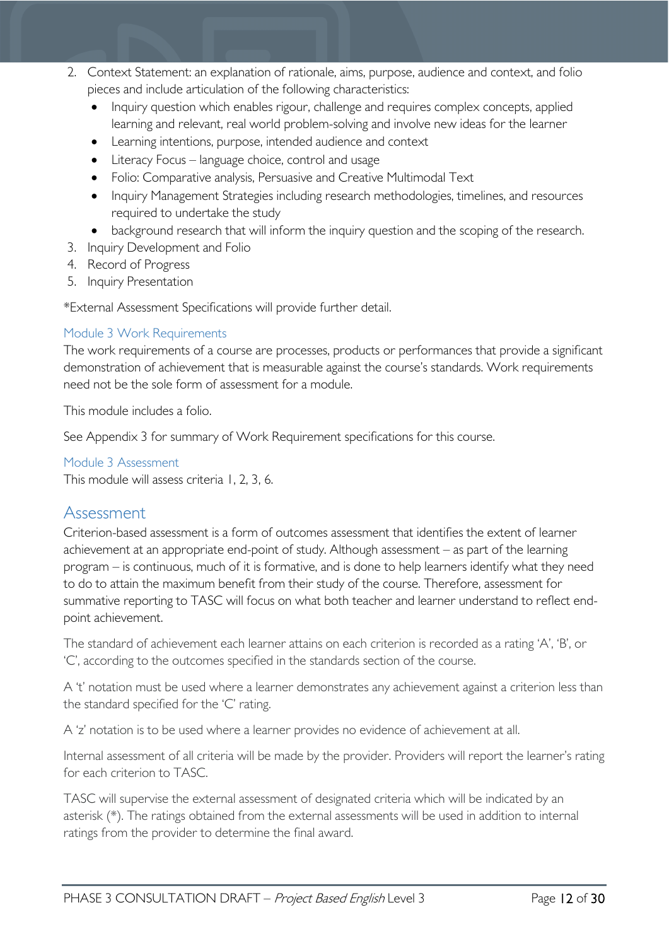- 2. Context Statement: an explanation of rationale, aims, purpose, audience and context, and folio pieces and include articulation of the following characteristics:
	- Inquiry question which enables rigour, challenge and requires complex concepts, applied learning and relevant, real world problem-solving and involve new ideas for the learner
	- Learning intentions, purpose, intended audience and context
	- Literacy Focus language choice, control and usage
	- Folio: Comparative analysis, Persuasive and Creative Multimodal Text
	- Inquiry Management Strategies including research methodologies, timelines, and resources required to undertake the study
	- background research that will inform the inquiry question and the scoping of the research.
- 3. Inquiry Development and Folio
- 4. Record of Progress
- 5. Inquiry Presentation

\*External Assessment Specifications will provide further detail.

#### <span id="page-11-0"></span>Module 3 Work Requirements

The work requirements of a course are processes, products or performances that provide a significant demonstration of achievement that is measurable against the course's standards. Work requirements need not be the sole form of assessment for a module.

This module includes a folio.

See Appendix 3 for summary of Work Requirement specifications for this course.

<span id="page-11-1"></span>Module 3 Assessment

This module will assess criteria 1, 2, 3, 6.

### <span id="page-11-2"></span>Assessment

Criterion-based assessment is a form of outcomes assessment that identifies the extent of learner achievement at an appropriate end-point of study. Although assessment – as part of the learning program – is continuous, much of it is formative, and is done to help learners identify what they need to do to attain the maximum benefit from their study of the course. Therefore, assessment for summative reporting to TASC will focus on what both teacher and learner understand to reflect endpoint achievement.

The standard of achievement each learner attains on each criterion is recorded as a rating 'A', 'B', or 'C', according to the outcomes specified in the standards section of the course.

A 't' notation must be used where a learner demonstrates any achievement against a criterion less than the standard specified for the 'C' rating.

A 'z' notation is to be used where a learner provides no evidence of achievement at all.

Internal assessment of all criteria will be made by the provider. Providers will report the learner's rating for each criterion to TASC.

TASC will supervise the external assessment of designated criteria which will be indicated by an asterisk (\*). The ratings obtained from the external assessments will be used in addition to internal ratings from the provider to determine the final award.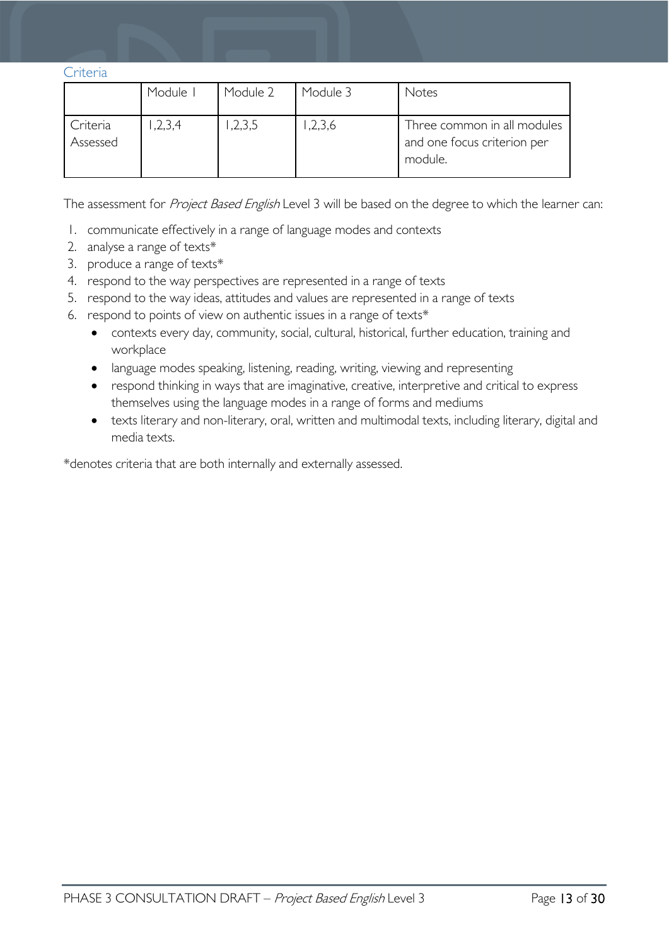<span id="page-12-0"></span>Criteria

|                      | Module I | Module 2 | Module 3 | Notes                                                                 |
|----------------------|----------|----------|----------|-----------------------------------------------------------------------|
| Criteria<br>Assessed | 1,2,3,4  | 1,2,3,5  | ,2,3,6   | Three common in all modules<br>and one focus criterion per<br>module. |

The assessment for Project Based English Level 3 will be based on the degree to which the learner can:

- 1. communicate effectively in a range of language modes and contexts
- 2. analyse a range of texts\*
- 3. produce a range of texts\*
- 4. respond to the way perspectives are represented in a range of texts
- 5. respond to the way ideas, attitudes and values are represented in a range of texts
- 6. respond to points of view on authentic issues in a range of texts\*
	- contexts every day, community, social, cultural, historical, further education, training and workplace
	- language modes speaking, listening, reading, writing, viewing and representing
	- respond thinking in ways that are imaginative, creative, interpretive and critical to express themselves using the language modes in a range of forms and mediums
	- texts literary and non-literary, oral, written and multimodal texts, including literary, digital and media texts.

\*denotes criteria that are both internally and externally assessed.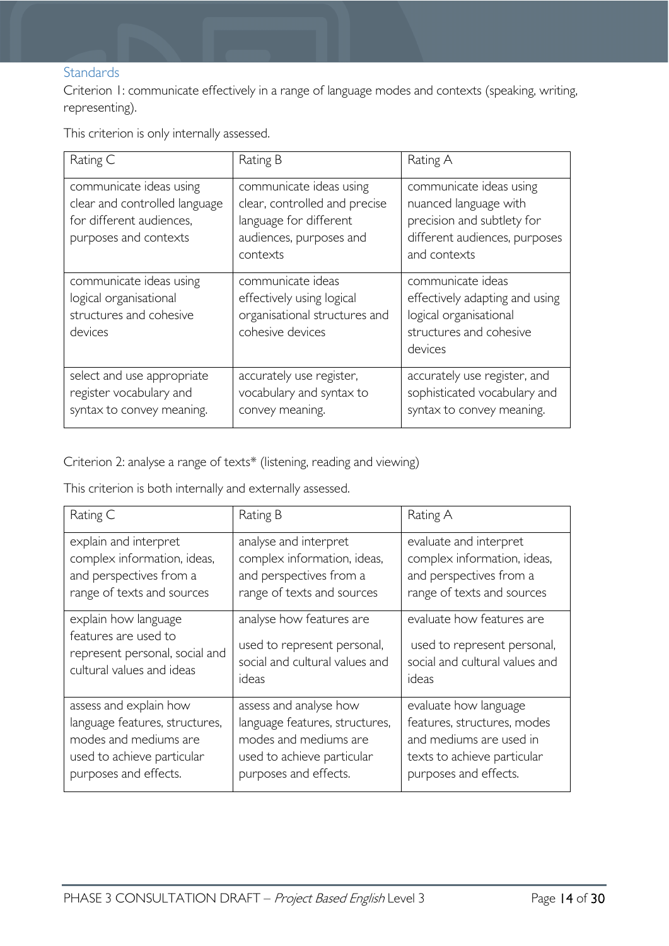#### <span id="page-13-0"></span>**Standards**

Criterion 1: communicate effectively in a range of language modes and contexts (speaking, writing, representing).

This criterion is only internally assessed.

| Rating C                                                                                                      | Rating B                                                                                                                  | Rating A                                                                                                                        |
|---------------------------------------------------------------------------------------------------------------|---------------------------------------------------------------------------------------------------------------------------|---------------------------------------------------------------------------------------------------------------------------------|
| communicate ideas using<br>clear and controlled language<br>for different audiences,<br>purposes and contexts | communicate ideas using<br>clear, controlled and precise<br>language for different<br>audiences, purposes and<br>contexts | communicate ideas using<br>nuanced language with<br>precision and subtlety for<br>different audiences, purposes<br>and contexts |
| communicate ideas using<br>logical organisational<br>structures and cohesive<br>devices                       | communicate ideas<br>effectively using logical<br>organisational structures and<br>cohesive devices                       | communicate ideas<br>effectively adapting and using<br>logical organisational<br>structures and cohesive<br>devices             |
| select and use appropriate<br>register vocabulary and<br>syntax to convey meaning.                            | accurately use register,<br>vocabulary and syntax to<br>convey meaning.                                                   | accurately use register, and<br>sophisticated vocabulary and<br>syntax to convey meaning.                                       |

Criterion 2: analyse a range of texts\* (listening, reading and viewing)

This criterion is both internally and externally assessed.

| Rating C                       | Rating B                       | Rating A                       |
|--------------------------------|--------------------------------|--------------------------------|
| explain and interpret          | analyse and interpret          | evaluate and interpret         |
| complex information, ideas,    | complex information, ideas,    | complex information, ideas,    |
| and perspectives from a        | and perspectives from a        | and perspectives from a        |
| range of texts and sources     | range of texts and sources     | range of texts and sources     |
| explain how language           | analyse how features are       | evaluate how features are      |
| features are used to           | used to represent personal,    | used to represent personal,    |
| represent personal, social and | social and cultural values and | social and cultural values and |
| cultural values and ideas      | ideas                          | ideas                          |
| assess and explain how         | assess and analyse how         | evaluate how language          |
| language features, structures, | language features, structures, | features, structures, modes    |
| modes and mediums are          | modes and mediums are          | and mediums are used in        |
| used to achieve particular     | used to achieve particular     | texts to achieve particular    |
| purposes and effects.          | purposes and effects.          | purposes and effects.          |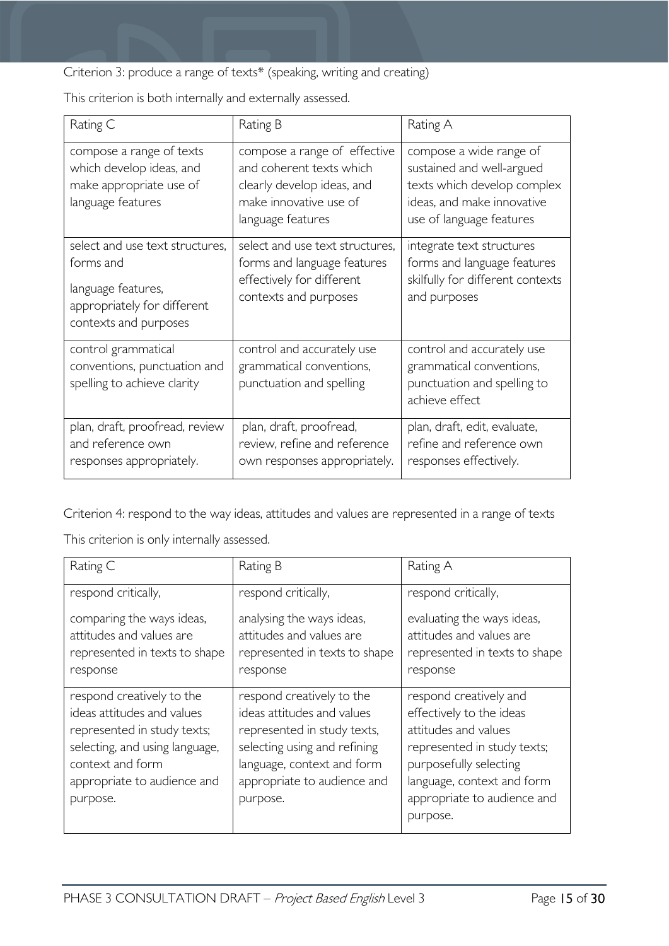Criterion 3: produce a range of texts\* (speaking, writing and creating)

This criterion is both internally and externally assessed.

| Rating C                                                                                                                   | Rating B                                                                                                                              | Rating A                                                                                                                                      |
|----------------------------------------------------------------------------------------------------------------------------|---------------------------------------------------------------------------------------------------------------------------------------|-----------------------------------------------------------------------------------------------------------------------------------------------|
| compose a range of texts<br>which develop ideas, and<br>make appropriate use of<br>language features                       | compose a range of effective<br>and coherent texts which<br>clearly develop ideas, and<br>make innovative use of<br>language features | compose a wide range of<br>sustained and well-argued<br>texts which develop complex<br>ideas, and make innovative<br>use of language features |
| select and use text structures,<br>forms and<br>language features,<br>appropriately for different<br>contexts and purposes | select and use text structures,<br>forms and language features<br>effectively for different<br>contexts and purposes                  | integrate text structures<br>forms and language features<br>skilfully for different contexts<br>and purposes                                  |
| control grammatical<br>conventions, punctuation and<br>spelling to achieve clarity                                         | control and accurately use<br>grammatical conventions,<br>punctuation and spelling                                                    | control and accurately use<br>grammatical conventions,<br>punctuation and spelling to<br>achieve effect                                       |
| plan, draft, proofread, review<br>and reference own<br>responses appropriately.                                            | plan, draft, proofread,<br>review, refine and reference<br>own responses appropriately.                                               | plan, draft, edit, evaluate,<br>refine and reference own<br>responses effectively.                                                            |

Criterion 4: respond to the way ideas, attitudes and values are represented in a range of texts

This criterion is only internally assessed.

| Rating C                                                                                                                                                                                | Rating B                                                                                                                                                                                        | Rating A                                                                                                                                                                                                     |
|-----------------------------------------------------------------------------------------------------------------------------------------------------------------------------------------|-------------------------------------------------------------------------------------------------------------------------------------------------------------------------------------------------|--------------------------------------------------------------------------------------------------------------------------------------------------------------------------------------------------------------|
| respond critically,                                                                                                                                                                     | respond critically,                                                                                                                                                                             | respond critically,                                                                                                                                                                                          |
| comparing the ways ideas,<br>attitudes and values are<br>represented in texts to shape<br>response                                                                                      | analysing the ways ideas,<br>attitudes and values are<br>represented in texts to shape<br>response                                                                                              | evaluating the ways ideas,<br>attitudes and values are<br>represented in texts to shape<br>response                                                                                                          |
| respond creatively to the<br>ideas attitudes and values<br>represented in study texts;<br>selecting, and using language,<br>context and form<br>appropriate to audience and<br>purpose. | respond creatively to the<br>ideas attitudes and values<br>represented in study texts,<br>selecting using and refining<br>language, context and form<br>appropriate to audience and<br>purpose. | respond creatively and<br>effectively to the ideas<br>attitudes and values<br>represented in study texts;<br>purposefully selecting<br>language, context and form<br>appropriate to audience and<br>purpose. |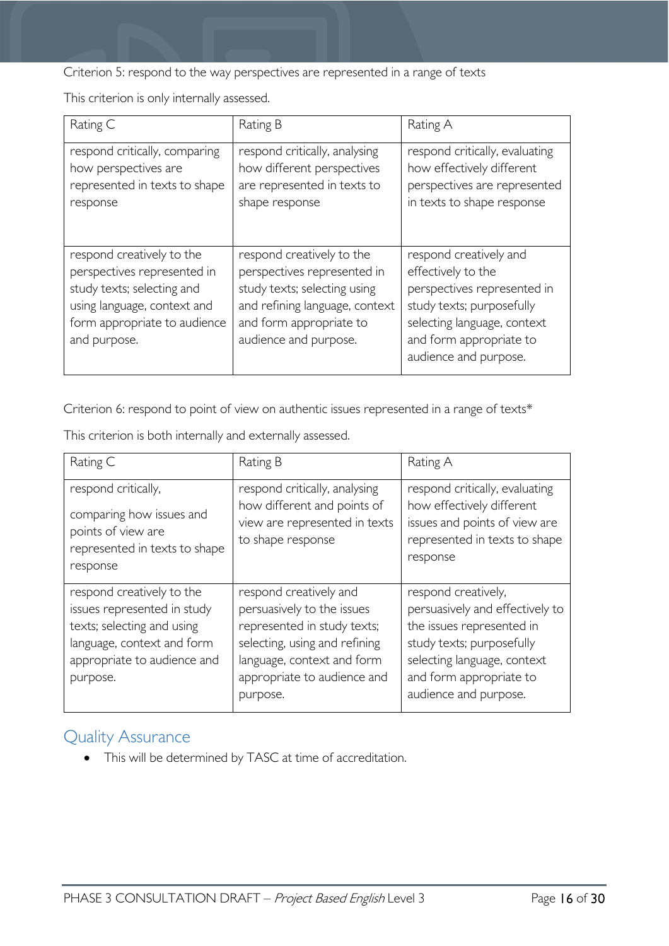Criterion 5: respond to the way perspectives are represented in a range of texts

This criterion is only internally assessed.

| Rating C                                                                                                                                                              | Rating B                                                                                                                                                                       | Rating A                                                                                                                                                                                    |
|-----------------------------------------------------------------------------------------------------------------------------------------------------------------------|--------------------------------------------------------------------------------------------------------------------------------------------------------------------------------|---------------------------------------------------------------------------------------------------------------------------------------------------------------------------------------------|
| respond critically, comparing<br>how perspectives are<br>represented in texts to shape<br>response                                                                    | respond critically, analysing<br>how different perspectives<br>are represented in texts to<br>shape response                                                                   | respond critically, evaluating<br>how effectively different<br>perspectives are represented<br>in texts to shape response                                                                   |
| respond creatively to the<br>perspectives represented in<br>study texts; selecting and<br>using language, context and<br>form appropriate to audience<br>and purpose. | respond creatively to the<br>perspectives represented in<br>study texts; selecting using<br>and refining language, context<br>and form appropriate to<br>audience and purpose. | respond creatively and<br>effectively to the<br>perspectives represented in<br>study texts; purposefully<br>selecting language, context<br>and form appropriate to<br>audience and purpose. |

Criterion 6: respond to point of view on authentic issues represented in a range of texts\*

This criterion is both internally and externally assessed.

| Rating C                                                                                                                                                        | Rating B                                                                                                                                                                                      | Rating A                                                                                                                                                                                            |
|-----------------------------------------------------------------------------------------------------------------------------------------------------------------|-----------------------------------------------------------------------------------------------------------------------------------------------------------------------------------------------|-----------------------------------------------------------------------------------------------------------------------------------------------------------------------------------------------------|
| respond critically,<br>comparing how issues and<br>points of view are<br>represented in texts to shape<br>response                                              | respond critically, analysing<br>how different and points of<br>view are represented in texts<br>to shape response                                                                            | respond critically, evaluating<br>how effectively different<br>issues and points of view are<br>represented in texts to shape<br>response                                                           |
| respond creatively to the<br>issues represented in study<br>texts; selecting and using<br>language, context and form<br>appropriate to audience and<br>purpose. | respond creatively and<br>persuasively to the issues<br>represented in study texts;<br>selecting, using and refining<br>language, context and form<br>appropriate to audience and<br>purpose. | respond creatively,<br>persuasively and effectively to<br>the issues represented in<br>study texts; purposefully<br>selecting language, context<br>and form appropriate to<br>audience and purpose. |

### <span id="page-15-0"></span>Quality Assurance

• This will be determined by TASC at time of accreditation.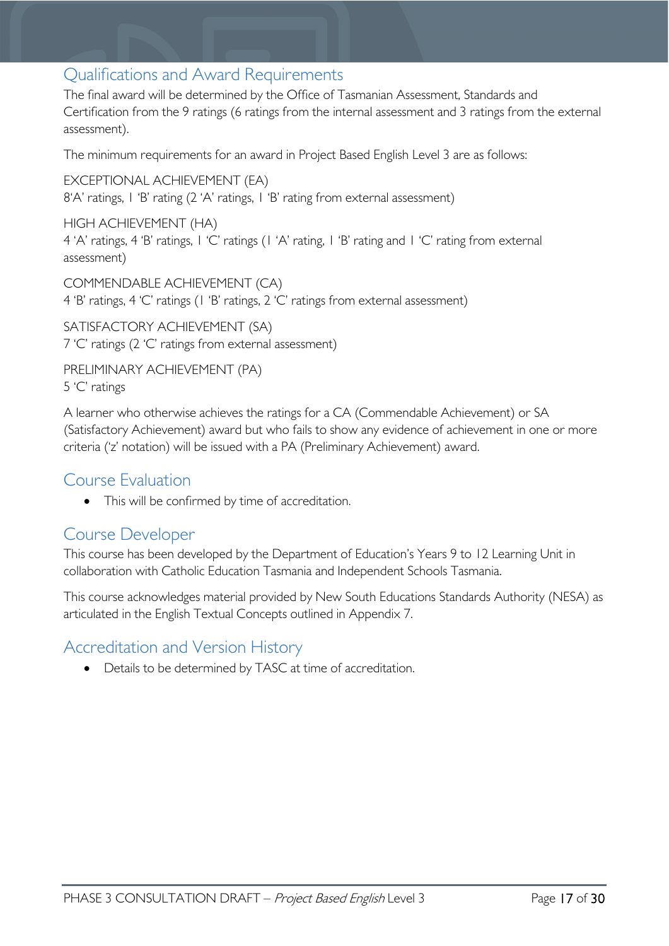### <span id="page-16-0"></span>Qualifications and Award Requirements

The final award will be determined by the Office of Tasmanian Assessment, Standards and Certification from the 9 ratings (6 ratings from the internal assessment and 3 ratings from the external assessment).

The minimum requirements for an award in Project Based English Level 3 are as follows:

EXCEPTIONAL ACHIEVEMENT (EA) 8'A' ratings, 1 'B' rating (2 'A' ratings, 1 'B' rating from external assessment)

HIGH ACHIEVEMENT (HA) 4 'A' ratings, 4 'B' ratings, 1 'C' ratings (1 'A' rating, 1 'B' rating and 1 'C' rating from external assessment)

COMMENDABLE ACHIEVEMENT (CA) 4 'B' ratings, 4 'C' ratings (1 'B' ratings, 2 'C' ratings from external assessment)

SATISFACTORY ACHIEVEMENT (SA) 7 'C' ratings (2 'C' ratings from external assessment)

PRELIMINARY ACHIEVEMENT (PA) 5 'C' ratings

A learner who otherwise achieves the ratings for a CA (Commendable Achievement) or SA (Satisfactory Achievement) award but who fails to show any evidence of achievement in one or more criteria ('z' notation) will be issued with a PA (Preliminary Achievement) award.

### <span id="page-16-1"></span>Course Evaluation

• This will be confirmed by time of accreditation.

### <span id="page-16-2"></span>Course Developer

This course has been developed by the Department of Education's Years 9 to 12 Learning Unit in collaboration with Catholic Education Tasmania and Independent Schools Tasmania.

This course acknowledges material provided by New South Educations Standards Authority (NESA) as articulated in the English Textual Concepts outlined in Appendix 7.

### <span id="page-16-3"></span>Accreditation and Version History

• Details to be determined by TASC at time of accreditation.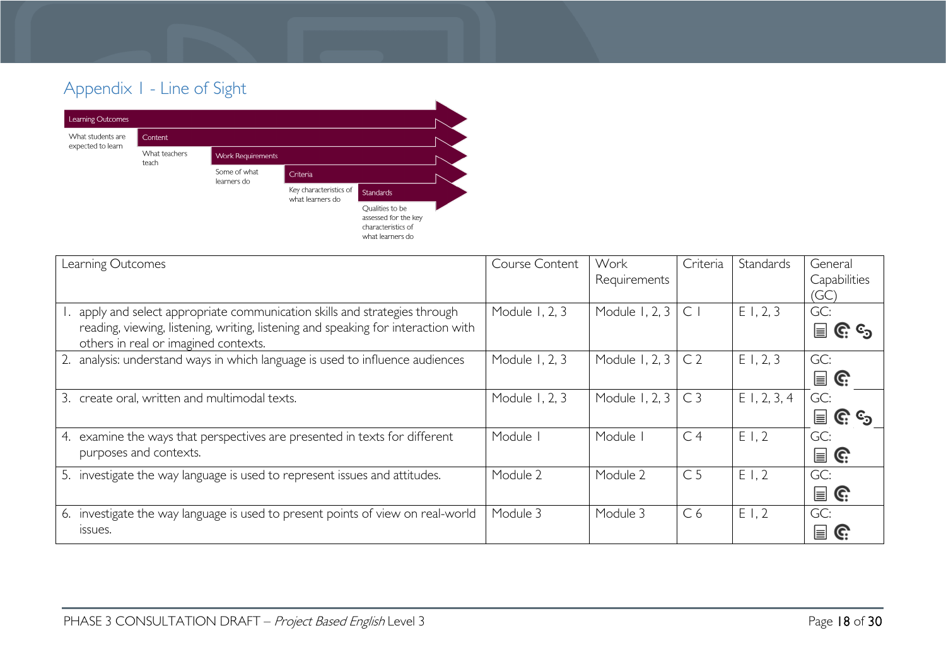# Appendix 1 - Line of Sight



<span id="page-17-0"></span>

| Learning Outcomes                                                                                                                                                                                     | Course Content | Work<br>Requirements | Criteria       | Standards   | General<br>Capabilities<br>(GC)                            |
|-------------------------------------------------------------------------------------------------------------------------------------------------------------------------------------------------------|----------------|----------------------|----------------|-------------|------------------------------------------------------------|
| apply and select appropriate communication skills and strategies through<br>reading, viewing, listening, writing, listening and speaking for interaction with<br>others in real or imagined contexts. | Module 1, 2, 3 | Module 1, 2, 3       | $\mathsf{C}$   | E1, 2, 3    | GC:<br>$\mathbf{r} \in \mathbb{C}$ is a set $\mathbf{r}_1$ |
| 2. analysis: understand ways in which language is used to influence audiences                                                                                                                         | Module 1, 2, 3 | Module 1, 2, 3       | C <sub>2</sub> | E1, 2, 3    | GC:<br>$\mathbf{r} \in \mathbb{R}^n$                       |
| create oral, written and multimodal texts.<br>3.                                                                                                                                                      | Module 1, 2, 3 | Module 1, 2, 3       | C <sub>3</sub> | E1, 2, 3, 4 | GC:<br>$\equiv$ G $c^3$                                    |
| examine the ways that perspectives are presented in texts for different<br>4.<br>purposes and contexts.                                                                                               | Module I       | Module               | C <sub>4</sub> | E1,2        | GC:<br>$\mathbf{r} \in \mathbb{R}^n$                       |
| 5. investigate the way language is used to represent issues and attitudes.                                                                                                                            | Module 2       | Module 2             | C <sub>5</sub> | E1,2        | GC:<br>$\mathbf{r}$                                        |
| 6. investigate the way language is used to present points of view on real-world<br><b>ISSUES.</b>                                                                                                     | Module 3       | Module 3             | C <sub>6</sub> | E1,2        | GC:<br>E<br>G.                                             |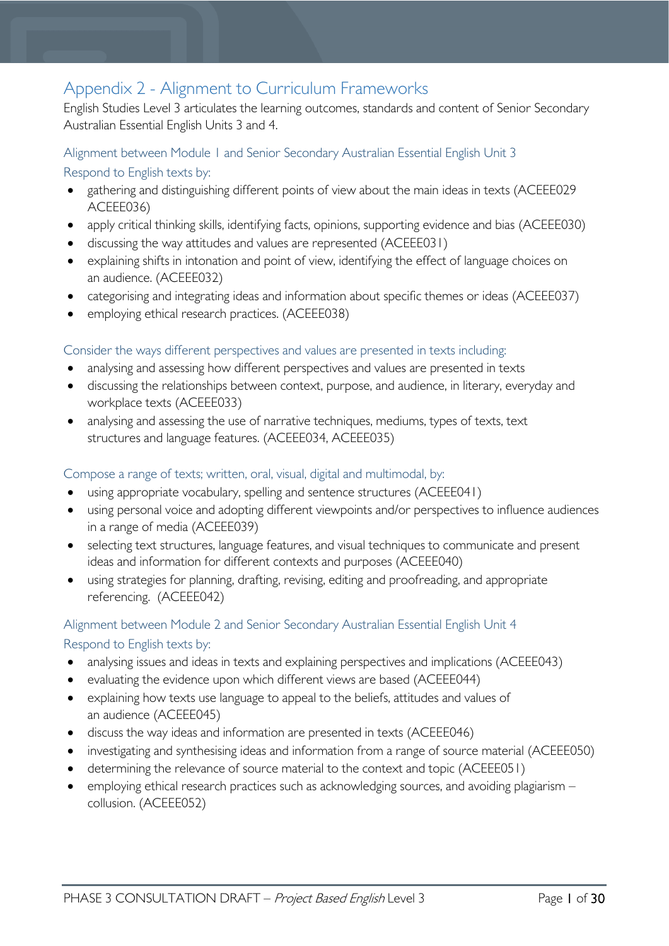# <span id="page-18-0"></span>Appendix 2 - Alignment to Curriculum Frameworks

English Studies Level 3 articulates the learning outcomes, standards and content of Senior Secondary Australian Essential English Units 3 and 4.

#### <span id="page-18-1"></span>Alignment between Module 1 and Senior Secondary Australian Essential English Unit 3

<span id="page-18-2"></span>Respond to English texts by:

- gathering and distinguishing different points of view about the main ideas in texts (ACEEE029 ACEEE036)
- apply critical thinking skills, identifying facts, opinions, supporting evidence and bias (ACEEE030)
- discussing the way attitudes and values are represented (ACEEE031)
- explaining shifts in intonation and point of view, identifying the effect of language choices on an audience. (ACEEE032)
- categorising and integrating ideas and information about specific themes or ideas (ACEEE037)
- employing ethical research practices. (ACEEE038)

#### <span id="page-18-3"></span>Consider the ways different perspectives and values are presented in texts including:

- analysing and assessing how different perspectives and values are presented in texts
- discussing the relationships between context, purpose, and audience, in literary, everyday and workplace texts (ACEEE033)
- analysing and assessing the use of narrative techniques, mediums, types of texts, text structures and language features. (ACEEE034, ACEEE035)

#### <span id="page-18-4"></span>Compose a range of texts; written, oral, visual, digital and multimodal, by:

- using appropriate vocabulary, spelling and sentence structures (ACEEE041)
- using personal voice and adopting different viewpoints and/or perspectives to influence audiences in a range of media (ACEEE039)
- selecting text structures, language features, and visual techniques to communicate and present ideas and information for different contexts and purposes (ACEEE040)
- using strategies for planning, drafting, revising, editing and proofreading, and appropriate referencing. (ACEEE042)

#### <span id="page-18-5"></span>Alignment between Module 2 and Senior Secondary Australian Essential English Unit 4

#### <span id="page-18-6"></span>Respond to English texts by:

- analysing issues and ideas in texts and explaining perspectives and implications (ACEEE043)
- evaluating the evidence upon which different views are based (ACEEE044)
- explaining how texts use language to appeal to the beliefs, attitudes and values of an audience (ACEEE045)
- discuss the way ideas and information are presented in texts (ACEEE046)
- investigating and synthesising ideas and information from a range of source material (ACEEE050)
- determining the relevance of source material to the context and topic (ACEEE051)
- employing ethical research practices such as acknowledging sources, and avoiding plagiarism collusion. (ACEEE052)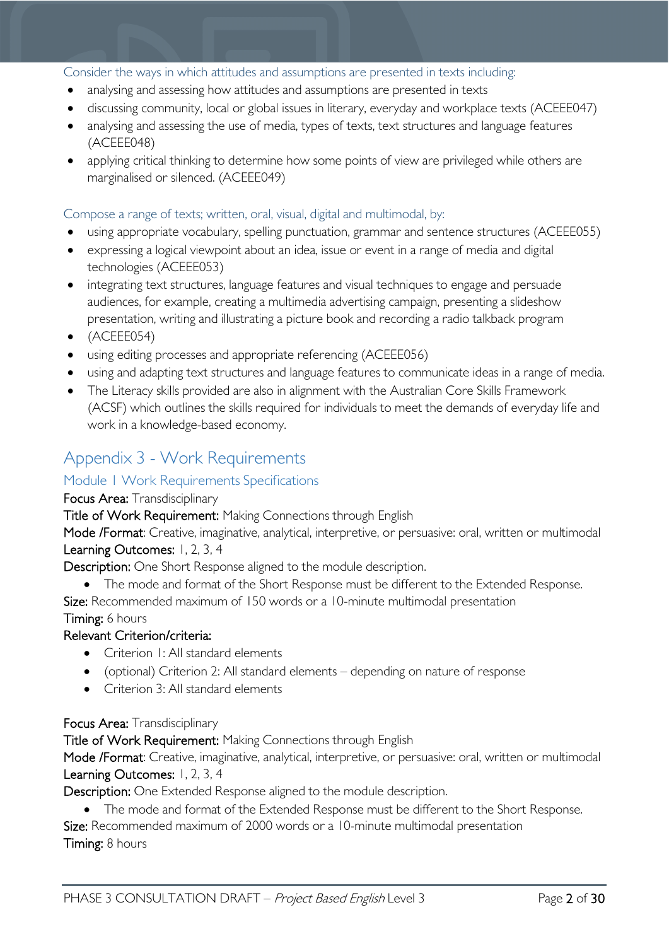#### <span id="page-19-0"></span>Consider the ways in which attitudes and assumptions are presented in texts including:

- analysing and assessing how attitudes and assumptions are presented in texts
- discussing community, local or global issues in literary, everyday and workplace texts (ACEEE047)
- analysing and assessing the use of media, types of texts, text structures and language features (ACEEE048)
- applying critical thinking to determine how some points of view are privileged while others are marginalised or silenced. (ACEEE049)

#### <span id="page-19-1"></span>Compose a range of texts; written, oral, visual, digital and multimodal, by:

- using appropriate vocabulary, spelling punctuation, grammar and sentence structures (ACEEE055)
- expressing a logical viewpoint about an idea, issue or event in a range of media and digital technologies (ACEEE053)
- integrating text structures, language features and visual techniques to engage and persuade audiences, for example, creating a multimedia advertising campaign, presenting a slideshow presentation, writing and illustrating a picture book and recording a radio talkback program
- (ACEEE054)
- using editing processes and appropriate referencing (ACEEE056)
- using and adapting text structures and language features to communicate ideas in a range of media.
- The Literacy skills provided are also in alignment with the Australian Core Skills Framework (ACSF) which outlines the skills required for individuals to meet the demands of everyday life and work in a knowledge-based economy.

### <span id="page-19-2"></span>Appendix 3 - Work Requirements

#### <span id="page-19-3"></span>Module 1 Work Requirements Specifications

#### Focus Area: Transdisciplinary

Title of Work Requirement: Making Connections through English

Mode /Format: Creative, imaginative, analytical, interpretive, or persuasive: oral, written or multimodal Learning Outcomes: 1, 2, 3, 4

Description: One Short Response aligned to the module description.

• The mode and format of the Short Response must be different to the Extended Response.

Size: Recommended maximum of 150 words or a 10-minute multimodal presentation

Timing: 6 hours

#### Relevant Criterion/criteria:

- Criterion I: All standard elements
- (optional) Criterion 2: All standard elements depending on nature of response
- Criterion 3: All standard elements

#### Focus Area: Transdisciplinary

Title of Work Requirement: Making Connections through English

Mode /Format: Creative, imaginative, analytical, interpretive, or persuasive: oral, written or multimodal Learning Outcomes: 1, 2, 3, 4

Description: One Extended Response aligned to the module description.

• The mode and format of the Extended Response must be different to the Short Response.

Size: Recommended maximum of 2000 words or a 10-minute multimodal presentation Timing: 8 hours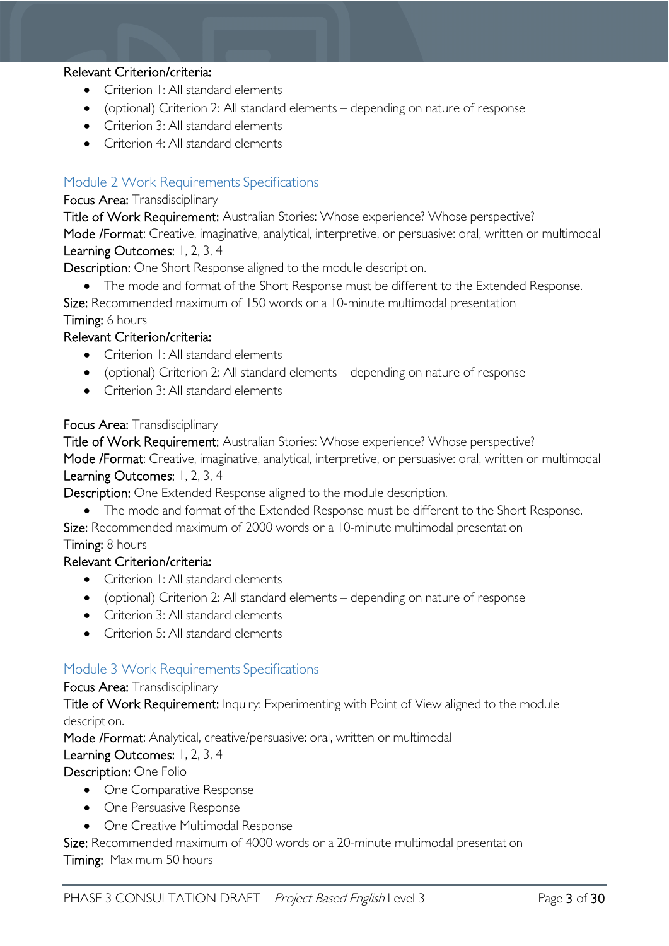#### Relevant Criterion/criteria:

- Criterion I: All standard elements
- (optional) Criterion 2: All standard elements depending on nature of response
- Criterion 3: All standard elements
- Criterion 4: All standard elements

#### <span id="page-20-0"></span>Module 2 Work Requirements Specifications

#### Focus Area: Transdisciplinary

Title of Work Requirement: Australian Stories: Whose experience? Whose perspective? Mode /Format: Creative, imaginative, analytical, interpretive, or persuasive: oral, written or multimodal Learning Outcomes: 1, 2, 3, 4

Description: One Short Response aligned to the module description.

• The mode and format of the Short Response must be different to the Extended Response.

Size: Recommended maximum of 150 words or a 10-minute multimodal presentation Timing: 6 hours

#### Relevant Criterion/criteria:

- Criterion 1: All standard elements
- (optional) Criterion 2: All standard elements depending on nature of response
- Criterion 3: All standard elements

#### Focus Area: Transdisciplinary

Title of Work Requirement: Australian Stories: Whose experience? Whose perspective? Mode /Format: Creative, imaginative, analytical, interpretive, or persuasive: oral, written or multimodal Learning Outcomes: 1, 2, 3, 4

Description: One Extended Response aligned to the module description.

• The mode and format of the Extended Response must be different to the Short Response.

Size: Recommended maximum of 2000 words or a 10-minute multimodal presentation Timing: 8 hours

#### Relevant Criterion/criteria:

- Criterion I: All standard elements
- (optional) Criterion 2: All standard elements depending on nature of response
- Criterion 3: All standard elements
- Criterion 5: All standard elements

#### <span id="page-20-1"></span>Module 3 Work Requirements Specifications

#### Focus Area: Transdisciplinary

Title of Work Requirement: Inquiry: Experimenting with Point of View aligned to the module description.

Mode /Format: Analytical, creative/persuasive: oral, written or multimodal

#### Learning Outcomes: 1, 2, 3, 4

Description: One Folio

- One Comparative Response
- One Persuasive Response
- One Creative Multimodal Response

Size: Recommended maximum of 4000 words or a 20-minute multimodal presentation Timing: Maximum 50 hours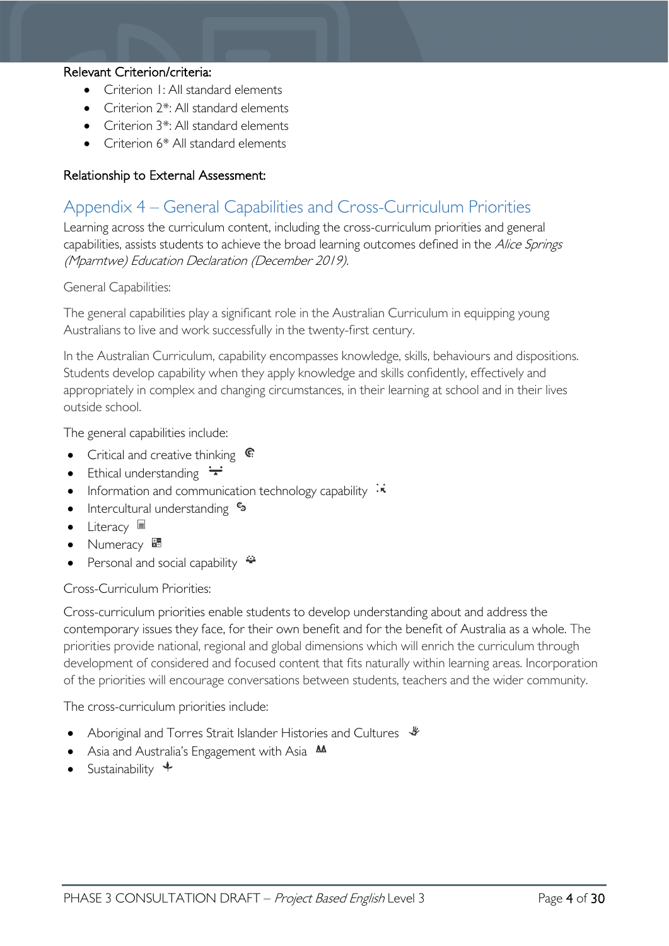#### Relevant Criterion/criteria:

- Criterion 1: All standard elements
- Criterion 2<sup>\*</sup>: All standard elements
- Criterion 3\*: All standard elements
- Criterion 6<sup>\*</sup> All standard elements

#### Relationship to External Assessment:

### <span id="page-21-0"></span>Appendix 4 – General Capabilities and Cross-Curriculum Priorities

Learning across the curriculum content, including the cross-curriculum priorities and general capabilities, assists students to achieve the broad learning outcomes defined in the Alice Springs (Mparntwe) Education Declaration (December 2019).

General Capabilities:

The general capabilities play a significant role in the Australian Curriculum in equipping young Australians to live and work successfully in the twenty-first century.

In the Australian Curriculum, capability encompasses knowledge, skills, behaviours and dispositions. Students develop capability when they apply knowledge and skills confidently, effectively and appropriately in complex and changing circumstances, in their learning at school and in their lives outside school.

The general capabilities include:

- Critical and creative thinking  $\mathbb{C}$
- Ethical understanding  $\div$
- Information and communication technology capability  $\cdot\vec{\cdot}$
- Intercultural understanding •
- Literacy  $\blacksquare$
- Numeracy <sup>龌</sup>
- Personal and social capability  $\ddot{\bullet}$

Cross-Curriculum Priorities:

Cross-curriculum priorities enable students to develop understanding about and address the contemporary issues they face, for their own benefit and for the benefit of Australia as a whole. The priorities provide national, regional and global dimensions which will enrich the curriculum through development of considered and focused content that fits naturally within learning areas. Incorporation of the priorities will encourage conversations between students, teachers and the wider community.

The cross-curriculum priorities include:

- Aboriginal and Torres Strait Islander Histories and Cultures  $\mathcal$
- Asia and Australia's Engagement with Asia **M**
- Sustainability  $\triangleq$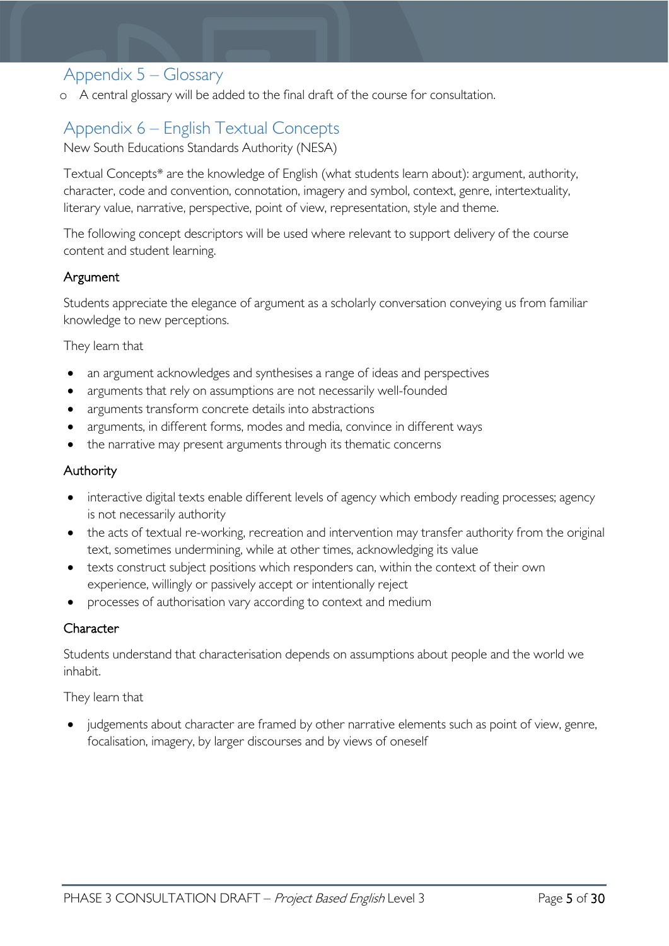### <span id="page-22-0"></span>Appendix 5 – Glossary

o A central glossary will be added to the final draft of the course for consultation.

# <span id="page-22-1"></span>Appendix 6 – English Textual Concepts

New South Educations Standards Authority (NESA)

Textual Concepts\* are the knowledge of English (what students learn about): argument, authority, character, code and convention, connotation, imagery and symbol, context, genre, intertextuality, literary value, narrative, perspective, point of view, representation, style and theme.

The following concept descriptors will be used where relevant to support delivery of the course content and student learning.

#### Argument

Students appreciate the elegance of argument as a scholarly conversation conveying us from familiar knowledge to new perceptions.

They learn that

- an argument acknowledges and synthesises a range of ideas and perspectives
- arguments that rely on assumptions are not necessarily well-founded
- arguments transform concrete details into abstractions
- arguments, in different forms, modes and media, convince in different ways
- the narrative may present arguments through its thematic concerns

#### Authority

- interactive digital texts enable different levels of agency which embody reading processes; agency is not necessarily authority
- the acts of textual re-working, recreation and intervention may transfer authority from the original text, sometimes undermining, while at other times, acknowledging its value
- texts construct subject positions which responders can, within the context of their own experience, willingly or passively accept or intentionally reject
- processes of authorisation vary according to context and medium

#### **Character**

Students understand that characterisation depends on assumptions about people and the world we inhabit.

#### They learn that

• judgements about character are framed by other narrative elements such as point of view, genre, focalisation, imagery, by larger discourses and by views of oneself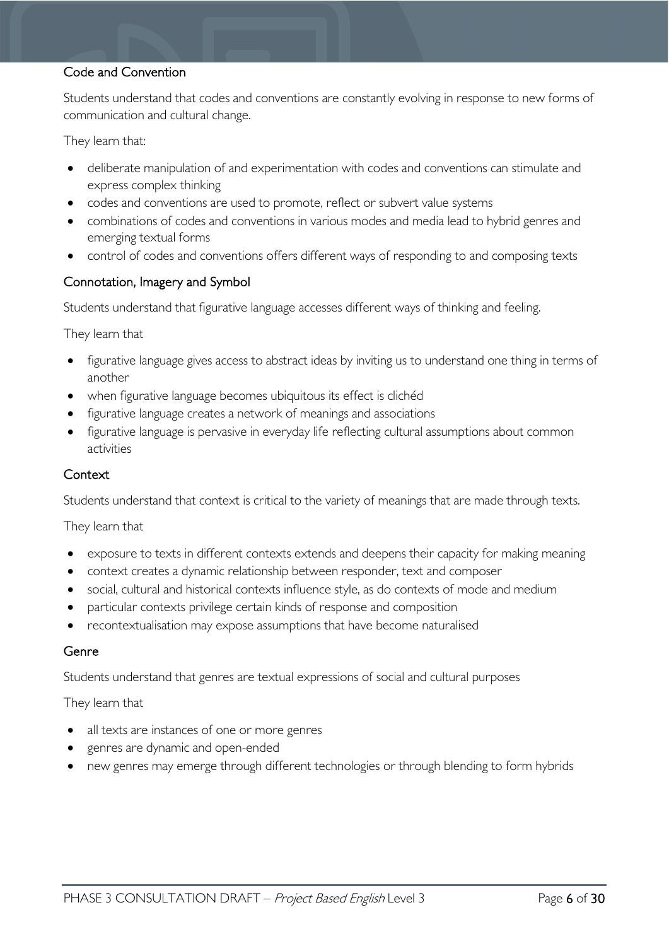#### Code and Convention

Students understand that codes and conventions are constantly evolving in response to new forms of communication and cultural change.

They learn that:

- deliberate manipulation of and experimentation with codes and conventions can stimulate and express complex thinking
- codes and conventions are used to promote, reflect or subvert value systems
- combinations of codes and conventions in various modes and media lead to hybrid genres and emerging textual forms
- control of codes and conventions offers different ways of responding to and composing texts

#### Connotation, Imagery and Symbol

Students understand that figurative language accesses different ways of thinking and feeling.

They learn that

- figurative language gives access to abstract ideas by inviting us to understand one thing in terms of another
- when figurative language becomes ubiquitous its effect is clichéd
- figurative language creates a network of meanings and associations
- figurative language is pervasive in everyday life reflecting cultural assumptions about common activities

#### **Context**

Students understand that context is critical to the variety of meanings that are made through texts.

They learn that

- exposure to texts in different contexts extends and deepens their capacity for making meaning
- context creates a dynamic relationship between responder, text and composer
- social, cultural and historical contexts influence style, as do contexts of mode and medium
- particular contexts privilege certain kinds of response and composition
- recontextualisation may expose assumptions that have become naturalised

#### Genre

Students understand that genres are textual expressions of social and cultural purposes

They learn that

- all texts are instances of one or more genres
- genres are dynamic and open-ended
- new genres may emerge through different technologies or through blending to form hybrids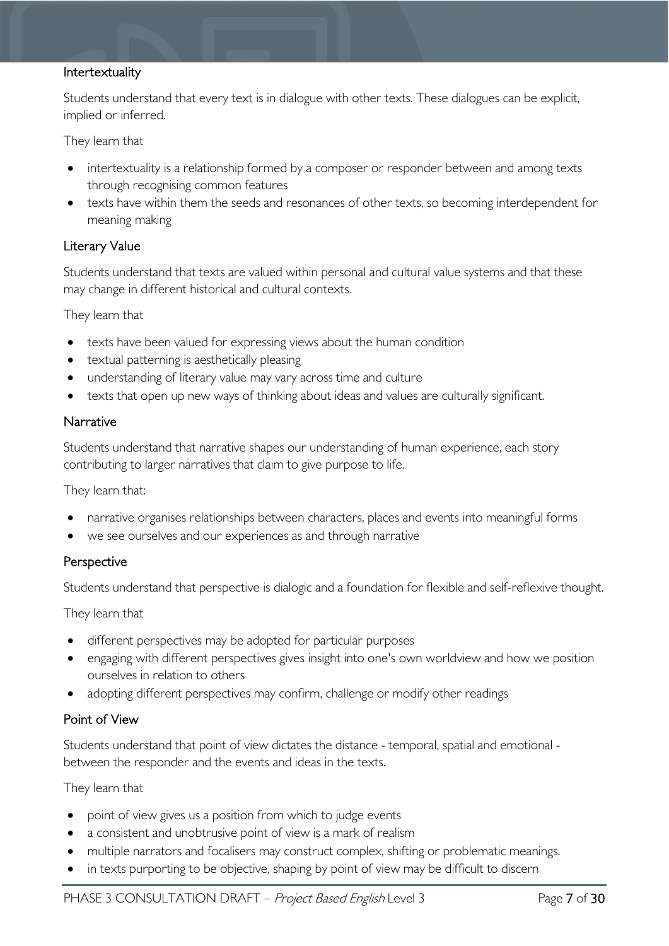#### Intertextuality

Students understand that every text is in dialogue with other texts. These dialogues can be explicit, implied or inferred.

They learn that

- intertextuality is a relationship formed by a composer or responder between and among texts through recognising common features
- texts have within them the seeds and resonances of other texts, so becoming interdependent for meaning making

#### Literary Value

Students understand that texts are valued within personal and cultural value systems and that these may change in different historical and cultural contexts.

They learn that

- texts have been valued for expressing views about the human condition
- textual patterning is aesthetically pleasing
- understanding of literary value may vary across time and culture
- texts that open up new ways of thinking about ideas and values are culturally significant.

#### Narrative

Students understand that narrative shapes our understanding of human experience, each story contributing to larger narratives that claim to give purpose to life.

They learn that:

- narrative organises relationships between characters, places and events into meaningful forms
- we see ourselves and our experiences as and through narrative

#### Perspective

Students understand that perspective is dialogic and a foundation for flexible and self-reflexive thought.

They learn that

- different perspectives may be adopted for particular purposes
- engaging with different perspectives gives insight into one's own worldview and how we position ourselves in relation to others
- adopting different perspectives may confirm, challenge or modify other readings

#### Point of View

Students understand that point of view dictates the distance - temporal, spatial and emotional between the responder and the events and ideas in the texts.

They learn that

- point of view gives us a position from which to judge events
- a consistent and unobtrusive point of view is a mark of realism
- multiple narrators and focalisers may construct complex, shifting or problematic meanings.
- in texts purporting to be objective, shaping by point of view may be difficult to discern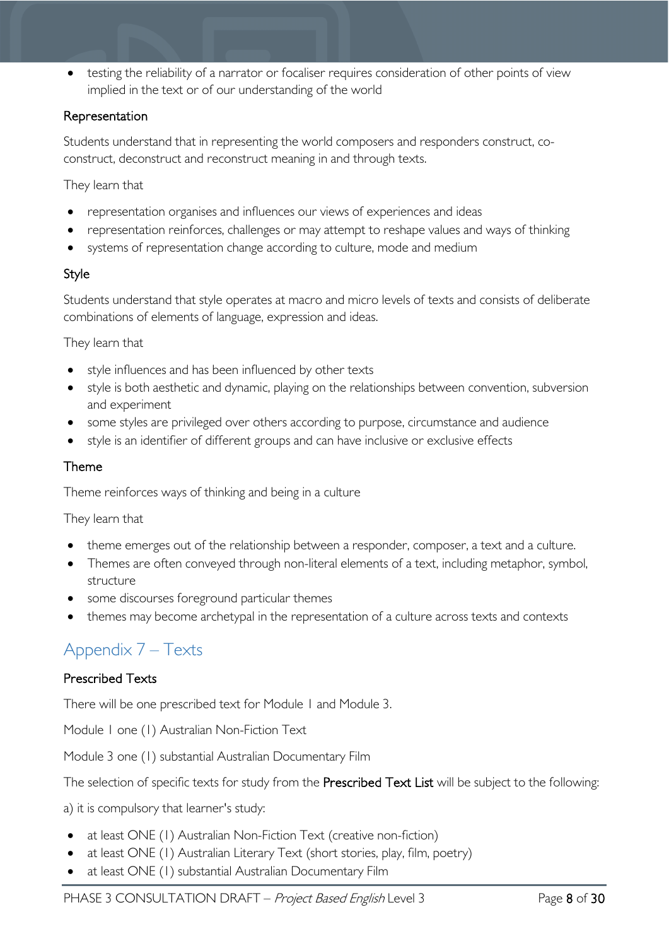testing the reliability of a narrator or focaliser requires consideration of other points of view implied in the text or of our understanding of the world

#### Representation

Students understand that in representing the world composers and responders construct, coconstruct, deconstruct and reconstruct meaning in and through texts.

They learn that

- representation organises and influences our views of experiences and ideas
- representation reinforces, challenges or may attempt to reshape values and ways of thinking
- systems of representation change according to culture, mode and medium

#### Style

Students understand that style operates at macro and micro levels of texts and consists of deliberate combinations of elements of language, expression and ideas.

They learn that

- style influences and has been influenced by other texts
- style is both aesthetic and dynamic, playing on the relationships between convention, subversion and experiment
- some styles are privileged over others according to purpose, circumstance and audience
- style is an identifier of different groups and can have inclusive or exclusive effects

#### Theme

Theme reinforces ways of thinking and being in a culture

They learn that

- theme emerges out of the relationship between a responder, composer, a text and a culture.
- Themes are often conveyed through non-literal elements of a text, including metaphor, symbol, structure
- some discourses foreground particular themes
- themes may become archetypal in the representation of a culture across texts and contexts

# <span id="page-25-0"></span>Appendix 7 – Texts

#### Prescribed Texts

There will be one prescribed text for Module 1 and Module 3.

Module 1 one (1) Australian Non-Fiction Text

Module 3 one (1) substantial Australian Documentary Film

The selection of specific texts for study from the Prescribed Text List will be subject to the following:

a) it is compulsory that learner's study:

- at least ONE (1) Australian Non-Fiction Text (creative non-fiction)
- at least ONE (1) Australian Literary Text (short stories, play, film, poetry)
- at least ONE (1) substantial Australian Documentary Film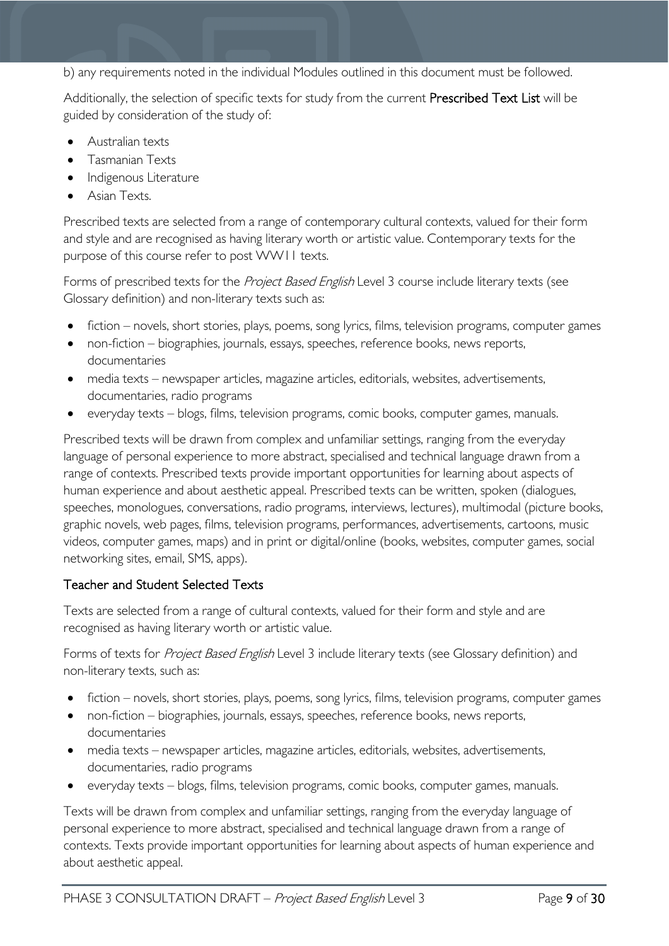b) any requirements noted in the individual Modules outlined in this document must be followed.

Additionally, the selection of specific texts for study from the current Prescribed Text List will be guided by consideration of the study of:

- Australian texts
- Tasmanian Texts
- Indigenous Literature
- Asian Texts.

Prescribed texts are selected from a range of contemporary cultural contexts, valued for their form and style and are recognised as having literary worth or artistic value. Contemporary texts for the purpose of this course refer to post WW11 texts.

Forms of prescribed texts for the Project Based English Level 3 course include literary texts (see Glossary definition) and non-literary texts such as:

- fiction novels, short stories, plays, poems, song lyrics, films, television programs, computer games
- non-fiction biographies, journals, essays, speeches, reference books, news reports, documentaries
- media texts newspaper articles, magazine articles, editorials, websites, advertisements, documentaries, radio programs
- everyday texts blogs, films, television programs, comic books, computer games, manuals.

Prescribed texts will be drawn from complex and unfamiliar settings, ranging from the everyday language of personal experience to more abstract, specialised and technical language drawn from a range of contexts. Prescribed texts provide important opportunities for learning about aspects of human experience and about aesthetic appeal. Prescribed texts can be written, spoken (dialogues, speeches, monologues, conversations, radio programs, interviews, lectures), multimodal (picture books, graphic novels, web pages, films, television programs, performances, advertisements, cartoons, music videos, computer games, maps) and in print or digital/online (books, websites, computer games, social networking sites, email, SMS, apps).

#### Teacher and Student Selected Texts

Texts are selected from a range of cultural contexts, valued for their form and style and are recognised as having literary worth or artistic value.

Forms of texts for Project Based English Level 3 include literary texts (see Glossary definition) and non-literary texts, such as:

- fiction novels, short stories, plays, poems, song lyrics, films, television programs, computer games
- non-fiction biographies, journals, essays, speeches, reference books, news reports, documentaries
- media texts newspaper articles, magazine articles, editorials, websites, advertisements, documentaries, radio programs
- everyday texts blogs, films, television programs, comic books, computer games, manuals.

Texts will be drawn from complex and unfamiliar settings, ranging from the everyday language of personal experience to more abstract, specialised and technical language drawn from a range of contexts. Texts provide important opportunities for learning about aspects of human experience and about aesthetic appeal.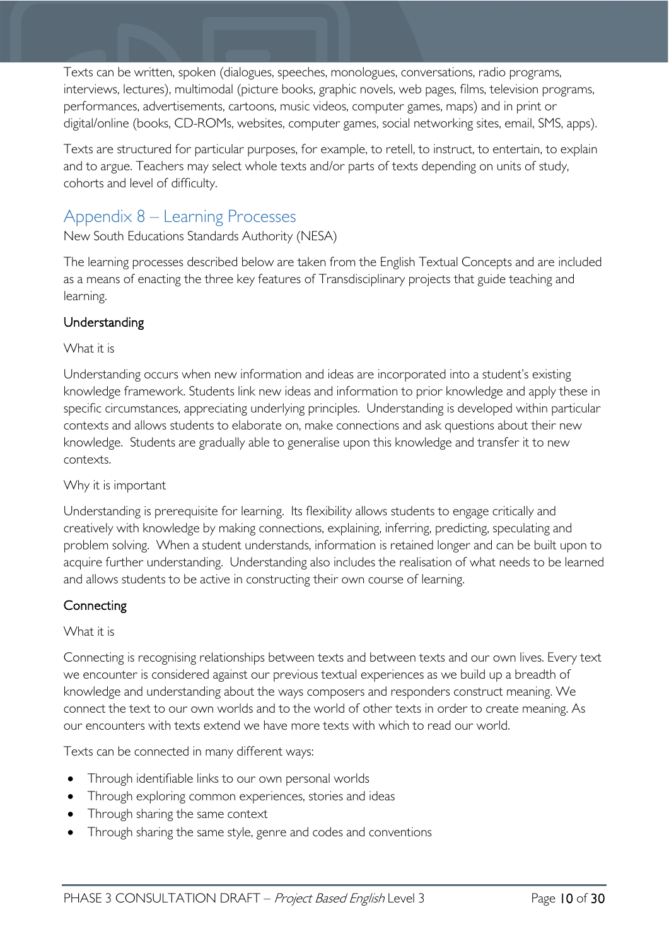Texts can be written, spoken (dialogues, speeches, monologues, conversations, radio programs, interviews, lectures), multimodal (picture books, graphic novels, web pages, films, television programs, performances, advertisements, cartoons, music videos, computer games, maps) and in print or digital/online (books, CD-ROMs, websites, computer games, social networking sites, email, SMS, apps).

Texts are structured for particular purposes, for example, to retell, to instruct, to entertain, to explain and to argue. Teachers may select whole texts and/or parts of texts depending on units of study, cohorts and level of difficulty.

# <span id="page-27-0"></span>Appendix 8 – Learning Processes

New South Educations Standards Authority (NESA)

The learning processes described below are taken from the English Textual Concepts and are included as a means of enacting the three key features of Transdisciplinary projects that guide teaching and learning.

### Understanding

#### What it is

Understanding occurs when new information and ideas are incorporated into a student's existing knowledge framework. Students link new ideas and information to prior knowledge and apply these in specific circumstances, appreciating underlying principles. Understanding is developed within particular contexts and allows students to elaborate on, make connections and ask questions about their new knowledge. Students are gradually able to generalise upon this knowledge and transfer it to new contexts.

#### Why it is important

Understanding is prerequisite for learning. Its flexibility allows students to engage critically and creatively with knowledge by making connections, explaining, inferring, predicting, speculating and problem solving. When a student understands, information is retained longer and can be built upon to acquire further understanding. Understanding also includes the realisation of what needs to be learned and allows students to be active in constructing their own course of learning.

#### **Connecting**

#### What it is

Connecting is recognising relationships between texts and between texts and our own lives. Every text we encounter is considered against our previous textual experiences as we build up a breadth of knowledge and understanding about the ways composers and responders construct meaning. We connect the text to our own worlds and to the world of other texts in order to create meaning. As our encounters with texts extend we have more texts with which to read our world.

Texts can be connected in many different ways:

- Through identifiable links to our own personal worlds
- Through exploring common experiences, stories and ideas
- Through sharing the same context
- Through sharing the same style, genre and codes and conventions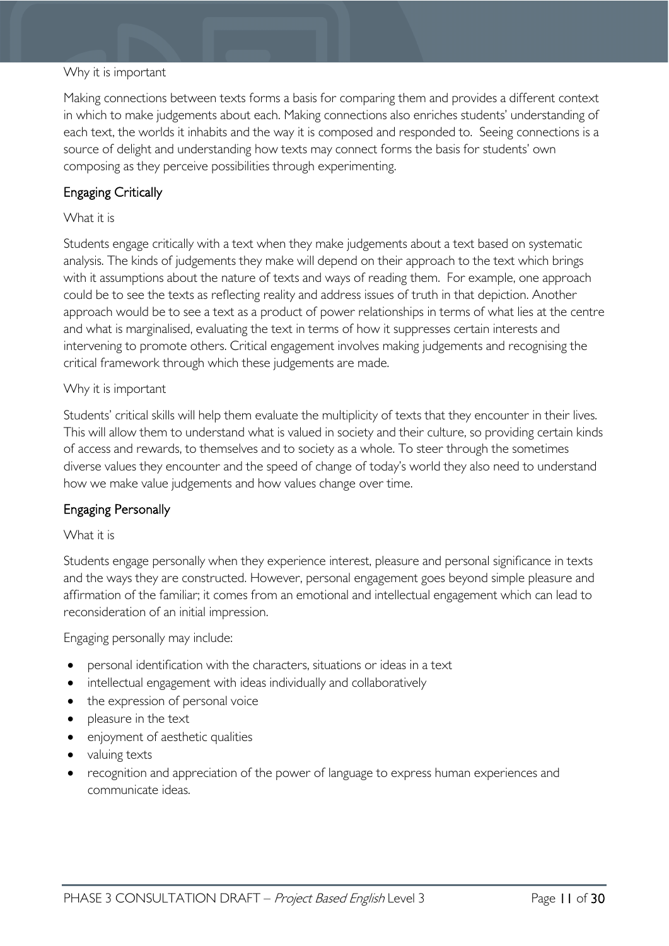#### Why it is important

Making connections between texts forms a basis for comparing them and provides a different context in which to make judgements about each. Making connections also enriches students' understanding of each text, the worlds it inhabits and the way it is composed and responded to. Seeing connections is a source of delight and understanding how texts may connect forms the basis for students' own composing as they perceive possibilities through experimenting.

#### Engaging Critically

#### What it is

Students engage critically with a text when they make judgements about a text based on systematic analysis. The kinds of judgements they make will depend on their approach to the text which brings with it assumptions about the nature of texts and ways of reading them. For example, one approach could be to see the texts as reflecting reality and address issues of truth in that depiction. Another approach would be to see a text as a product of power relationships in terms of what lies at the centre and what is marginalised, evaluating the text in terms of how it suppresses certain interests and intervening to promote others. Critical engagement involves making judgements and recognising the critical framework through which these judgements are made.

#### Why it is important

Students' critical skills will help them evaluate the multiplicity of texts that they encounter in their lives. This will allow them to understand what is valued in society and their culture, so providing certain kinds of access and rewards, to themselves and to society as a whole. To steer through the sometimes diverse values they encounter and the speed of change of today's world they also need to understand how we make value judgements and how values change over time.

#### Engaging Personally

#### What it is

Students engage personally when they experience interest, pleasure and personal significance in texts and the ways they are constructed. However, personal engagement goes beyond simple pleasure and affirmation of the familiar; it comes from an emotional and intellectual engagement which can lead to reconsideration of an initial impression.

Engaging personally may include:

- personal identification with the characters, situations or ideas in a text
- intellectual engagement with ideas individually and collaboratively
- the expression of personal voice
- pleasure in the text
- enjoyment of aesthetic qualities
- valuing texts
- recognition and appreciation of the power of language to express human experiences and communicate ideas.